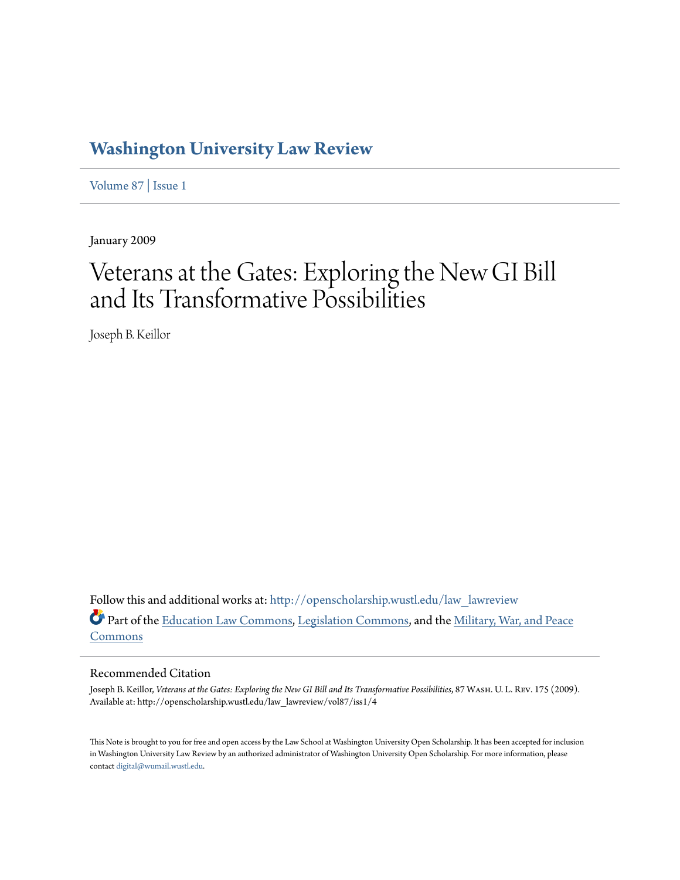## **[Washington University Law Review](http://openscholarship.wustl.edu/law_lawreview?utm_source=openscholarship.wustl.edu%2Flaw_lawreview%2Fvol87%2Fiss1%2F4&utm_medium=PDF&utm_campaign=PDFCoverPages)**

[Volume 87](http://openscholarship.wustl.edu/law_lawreview/vol87?utm_source=openscholarship.wustl.edu%2Flaw_lawreview%2Fvol87%2Fiss1%2F4&utm_medium=PDF&utm_campaign=PDFCoverPages) | [Issue 1](http://openscholarship.wustl.edu/law_lawreview/vol87/iss1?utm_source=openscholarship.wustl.edu%2Flaw_lawreview%2Fvol87%2Fiss1%2F4&utm_medium=PDF&utm_campaign=PDFCoverPages)

January 2009

# Veterans at the Gates: Exploring the New GI Bill and Its Transformative Possibilities

Joseph B. Keillor

Follow this and additional works at: [http://openscholarship.wustl.edu/law\\_lawreview](http://openscholarship.wustl.edu/law_lawreview?utm_source=openscholarship.wustl.edu%2Flaw_lawreview%2Fvol87%2Fiss1%2F4&utm_medium=PDF&utm_campaign=PDFCoverPages) Part of the [Education Law Commons](http://network.bepress.com/hgg/discipline/596?utm_source=openscholarship.wustl.edu%2Flaw_lawreview%2Fvol87%2Fiss1%2F4&utm_medium=PDF&utm_campaign=PDFCoverPages), [Legislation Commons](http://network.bepress.com/hgg/discipline/859?utm_source=openscholarship.wustl.edu%2Flaw_lawreview%2Fvol87%2Fiss1%2F4&utm_medium=PDF&utm_campaign=PDFCoverPages), and the [Military, War, and Peace](http://network.bepress.com/hgg/discipline/861?utm_source=openscholarship.wustl.edu%2Flaw_lawreview%2Fvol87%2Fiss1%2F4&utm_medium=PDF&utm_campaign=PDFCoverPages) [Commons](http://network.bepress.com/hgg/discipline/861?utm_source=openscholarship.wustl.edu%2Flaw_lawreview%2Fvol87%2Fiss1%2F4&utm_medium=PDF&utm_campaign=PDFCoverPages)

#### Recommended Citation

Joseph B. Keillor, *Veterans at the Gates: Exploring the New GI Bill and Its Transformative Possibilities*, 87 WASH. U. L. REV. 175 (2009). Available at: http://openscholarship.wustl.edu/law\_lawreview/vol87/iss1/4

This Note is brought to you for free and open access by the Law School at Washington University Open Scholarship. It has been accepted for inclusion in Washington University Law Review by an authorized administrator of Washington University Open Scholarship. For more information, please contact [digital@wumail.wustl.edu.](mailto:digital@wumail.wustl.edu)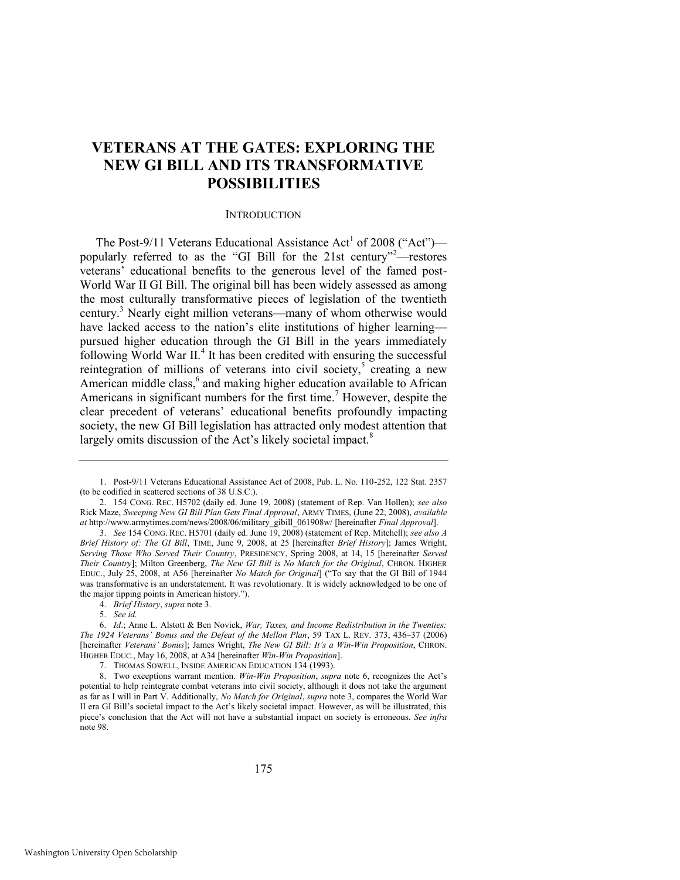### **VETERANS AT THE GATES: EXPLORING THE NEW GI BILL AND ITS TRANSFORMATIVE POSSIBILITIES**

#### <span id="page-1-4"></span><span id="page-1-3"></span><span id="page-1-2"></span>**INTRODUCTION**

<span id="page-1-0"></span>The Post-9/11 Veterans Educational Assistance Act<sup>1</sup> of 2008 ("Act") popularly referred to as the "GI Bill for the 21st century"<sup>2</sup>—restores veterans' educational benefits to the generous level of the famed post-World War II GI Bill. The original bill has been widely assessed as among the most culturally transformative pieces of legislation of the twentieth century.<sup>3</sup> Nearly eight million veterans—many of whom otherwise would have lacked access to the nation's elite institutions of higher learning pursued higher education through the GI Bill in the years immediately following World War II.<sup>4</sup> It has been credited with ensuring the successful reintegration of millions of veterans into civil society,<sup>5</sup> creating a new American middle class,<sup>6</sup> and making higher education available to African Americans in significant numbers for the first time.<sup>7</sup> However, despite the clear precedent of veterans' educational benefits profoundly impacting society, the new GI Bill legislation has attracted only modest attention that largely omits discussion of the Act's likely societal impact.<sup>8</sup>

<span id="page-1-1"></span><sup>1.</sup> Post-9/11 Veterans Educational Assistance Act of 2008, Pub. L. No. 110-252, 122 Stat. 2357 (to be codified in scattered sections of 38 U.S.C.).

<sup>2. 154</sup> CONG. REC. H5702 (daily ed. June 19, 2008) (statement of Rep. Van Hollen); *see also*  Rick Maze, *Sweeping New GI Bill Plan Gets Final Approval*, ARMY TIMES, (June 22, 2008), *available at* http://www.armytimes.com/news/2008/06/military\_gibill\_061908w/ [hereinafter *Final Approval*].

<sup>3.</sup> *See* 154 CONG. REC. H5701 (daily ed. June 19, 2008) (statement of Rep. Mitchell); *see also A Brief History of: The GI Bill*, TIME, June 9, 2008, at 25 [hereinafter *Brief History*]; James Wright, *Serving Those Who Served Their Country*, PRESIDENCY, Spring 2008, at 14, 15 [hereinafter *Served Their Country*]; Milton Greenberg, *The New GI Bill is No Match for the Original*, CHRON. HIGHER EDUC., July 25, 2008, at A56 [hereinafter *No Match for Original*] ("To say that the GI Bill of 1944 was transformative is an understatement. It was revolutionary. It is widely acknowledged to be one of the major tipping points in American history.").

<sup>4.</sup> *Brief History*, *supra* not[e 3.](#page-1-0)

<sup>5.</sup> *See id.*

<sup>6.</sup> *Id*.; Anne L. Alstott & Ben Novick, *War, Taxes, and Income Redistribution in the Twenties: The 1924 Veterans' Bonus and the Defeat of the Mellon Plan*, 59 TAX L. REV. 373, 436–37 (2006) [hereinafter *Veterans' Bonus*]; James Wright, *The New GI Bill: It's a Win-Win Proposition*, CHRON. HIGHER EDUC., May 16, 2008, at A34 [hereinafter *Win-Win Proposition*].

<sup>7.</sup> THOMAS SOWELL, INSIDE AMERICAN EDUCATION 134 (1993).

<sup>8.</sup> Two exceptions warrant mention. *Win-Win Proposition*, *supra* not[e 6](#page-1-1), recognizes the Act's potential to help reintegrate combat veterans into civil society, although it does not take the argument as far as I will in Part V. Additionally, *No Match for Original*, *supra* note [3,](#page-1-0) compares the World War II era GI Bill's societal impact to the Act's likely societal impact. However, as will be illustrated, this piece's conclusion that the Act will not have a substantial impact on society is erroneous. *See infra*  note [98.](#page-16-0)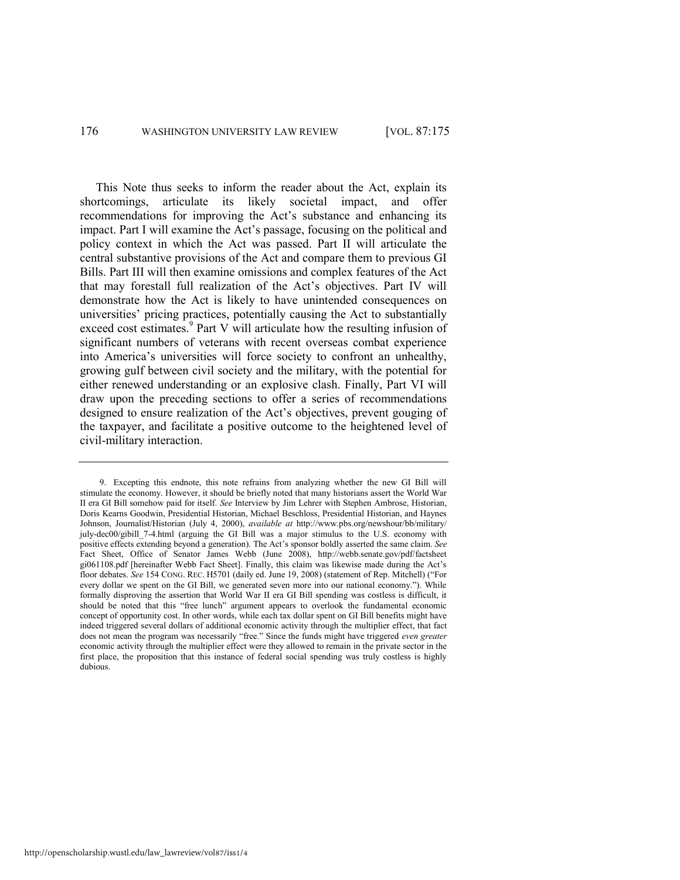<span id="page-2-0"></span>This Note thus seeks to inform the reader about the Act, explain its shortcomings, articulate its likely societal impact, and offer recommendations for improving the Act's substance and enhancing its impact. Part I will examine the Act's passage, focusing on the political and policy context in which the Act was passed. Part II will articulate the central substantive provisions of the Act and compare them to previous GI Bills. Part III will then examine omissions and complex features of the Act that may forestall full realization of the Act's objectives. Part IV will demonstrate how the Act is likely to have unintended consequences on universities' pricing practices, potentially causing the Act to substantially exceed cost estimates.<sup>9</sup> Part V will articulate how the resulting infusion of significant numbers of veterans with recent overseas combat experience into America's universities will force society to confront an unhealthy, growing gulf between civil society and the military, with the potential for either renewed understanding or an explosive clash. Finally, Part VI will draw upon the preceding sections to offer a series of recommendations designed to ensure realization of the Act's objectives, prevent gouging of the taxpayer, and facilitate a positive outcome to the heightened level of civil-military interaction.

<sup>9.</sup> Excepting this endnote, this note refrains from analyzing whether the new GI Bill will stimulate the economy. However, it should be briefly noted that many historians assert the World War II era GI Bill somehow paid for itself. *See* Interview by Jim Lehrer with Stephen Ambrose, Historian, Doris Kearns Goodwin, Presidential Historian, Michael Beschloss, Presidential Historian, and Haynes Johnson, Journalist/Historian (July 4, 2000), *available at* http://www.pbs.org/newshour/bb/military/ july-dec00/gibill 7-4.html (arguing the GI Bill was a major stimulus to the U.S. economy with positive effects extending beyond a generation). The Act's sponsor boldly asserted the same claim. *See*  Fact Sheet, Office of Senator James Webb (June 2008), http://webb.senate.gov/pdf/factsheet gi061108.pdf [hereinafter Webb Fact Sheet]. Finally, this claim was likewise made during the Act's floor debates. *See* 154 CONG. REC. H5701 (daily ed. June 19, 2008) (statement of Rep. Mitchell) ("For every dollar we spent on the GI Bill, we generated seven more into our national economy."). While formally disproving the assertion that World War II era GI Bill spending was costless is difficult, it should be noted that this "free lunch" argument appears to overlook the fundamental economic concept of opportunity cost. In other words, while each tax dollar spent on GI Bill benefits might have indeed triggered several dollars of additional economic activity through the multiplier effect, that fact does not mean the program was necessarily "free." Since the funds might have triggered *even greater* economic activity through the multiplier effect were they allowed to remain in the private sector in the first place, the proposition that this instance of federal social spending was truly costless is highly dubious.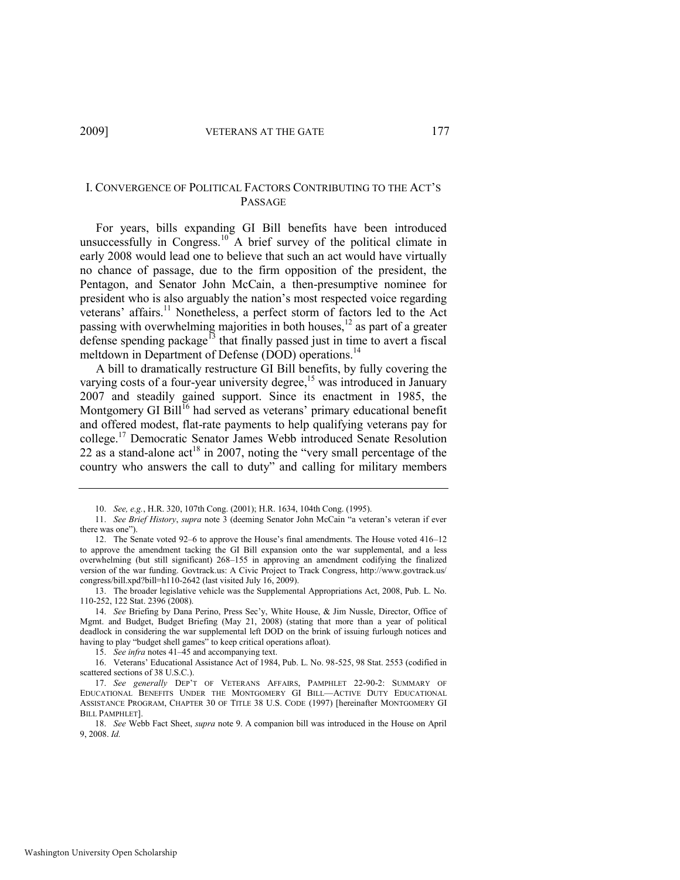#### I. CONVERGENCE OF POLITICAL FACTORS CONTRIBUTING TO THE ACT'S PASSAGE

For years, bills expanding GI Bill benefits have been introduced unsuccessfully in Congress.<sup>10</sup> A brief survey of the political climate in early 2008 would lead one to believe that such an act would have virtually no chance of passage, due to the firm opposition of the president, the Pentagon, and Senator John McCain, a then-presumptive nominee for president who is also arguably the nation's most respected voice regarding veterans' affairs.<sup>11</sup> Nonetheless, a perfect storm of factors led to the Act passing with overwhelming majorities in both houses, $12$  as part of a greater defense spending package<sup>13</sup> that finally passed just in time to avert a fiscal meltdown in Department of Defense (DOD) operations.<sup>14</sup>

<span id="page-3-0"></span>A bill to dramatically restructure GI Bill benefits, by fully covering the varying costs of a four-year university degree, $\frac{15}{15}$  was introduced in January 2007 and steadily gained support. Since its enactment in 1985, the Montgomery GI Bill<sup>16</sup> had served as veterans' primary educational benefit and offered modest, flat-rate payments to help qualifying veterans pay for college.<sup>17</sup> Democratic Senator James Webb introduced Senate Resolution 22 as a stand-alone act<sup>18</sup> in 2007, noting the "very small percentage of the country who answers the call to duty" and calling for military members

<span id="page-3-1"></span><sup>10.</sup> *See, e.g.*, H.R. 320, 107th Cong. (2001); H.R. 1634, 104th Cong. (1995).

<sup>11.</sup> *See Brief History, supra* not[e 3](#page-1-0) (deeming Senator John McCain "a veteran's veteran if ever there was one").

<sup>12.</sup> The Senate voted 92–6 to approve the House's final amendments. The House voted 416–12 to approve the amendment tacking the GI Bill expansion onto the war supplemental, and a less overwhelming (but still significant) 268–155 in approving an amendment codifying the finalized version of the war funding. Govtrack.us: A Civic Project to Track Congress, http://www.govtrack.us/ congress/bill.xpd?bill=h110-2642 (last visited July 16, 2009).

<sup>13.</sup> The broader legislative vehicle was the Supplemental Appropriations Act, 2008, Pub. L. No. 110-252, 122 Stat. 2396 (2008).

<sup>14.</sup> *See* Briefing by Dana Perino, Press Sec'y, White House, & Jim Nussle, Director, Office of Mgmt. and Budget, Budget Briefing (May 21, 2008) (stating that more than a year of political deadlock in considering the war supplemental left DOD on the brink of issuing furlough notices and having to play "budget shell games" to keep critical operations afloat).

<sup>15.</sup> *See infra* notes [41](#page-7-0)–[45 a](#page-8-0)nd accompanying text.

<sup>16.</sup> Veterans' Educational Assistance Act of 1984, Pub. L. No. 98-525, 98 Stat. 2553 (codified in scattered sections of 38 U.S.C.).

<sup>17.</sup> *See generally* DEP'T OF VETERANS AFFAIRS, PAMPHLET 22-90-2: SUMMARY OF EDUCATIONAL BENEFITS UNDER THE MONTGOMERY GI BILL—ACTIVE DUTY EDUCATIONAL ASSISTANCE PROGRAM, CHAPTER 30 OF TITLE 38 U.S. CODE (1997) [hereinafter MONTGOMERY GI BILL PAMPHLET].

<sup>18.</sup> *See* Webb Fact Sheet, *supra* not[e 9.](#page-2-0) A companion bill was introduced in the House on April 9, 2008. *Id.*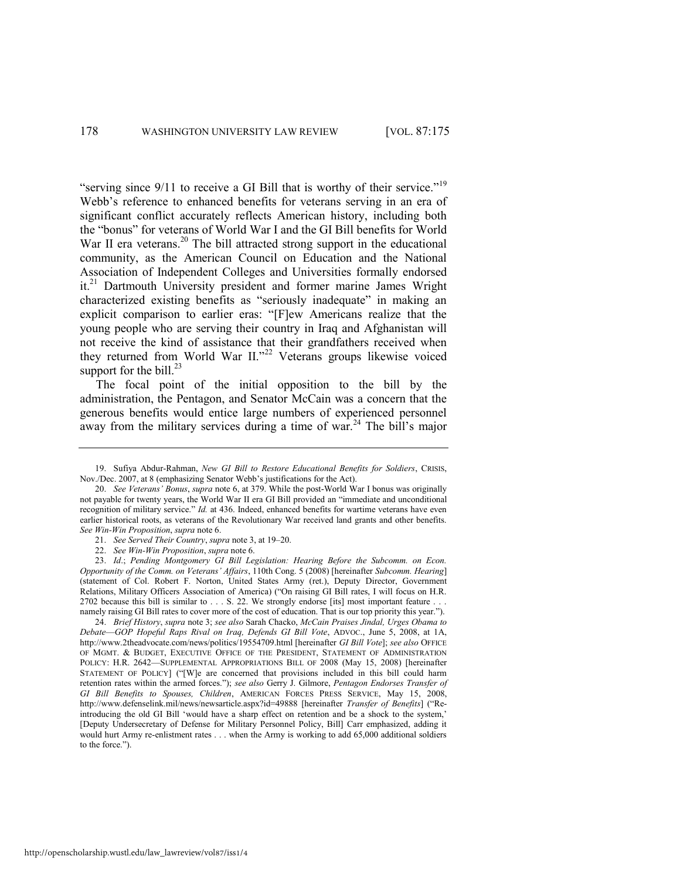<span id="page-4-4"></span><span id="page-4-2"></span>"serving since  $9/11$  to receive a GI Bill that is worthy of their service."<sup>19</sup> Webb's reference to enhanced benefits for veterans serving in an era of significant conflict accurately reflects American history, including both the "bonus" for veterans of World War I and the GI Bill benefits for World War II era veterans.<sup>20</sup> The bill attracted strong support in the educational community, as the American Council on Education and the National Association of Independent Colleges and Universities formally endorsed it.<sup>21</sup> Dartmouth University president and former marine James Wright characterized existing benefits as "seriously inadequate" in making an explicit comparison to earlier eras: "[F]ew Americans realize that the young people who are serving their country in Iraq and Afghanistan will not receive the kind of assistance that their grandfathers received when they returned from World War II."<sup>22</sup> Veterans groups likewise voiced support for the bill.<sup>23</sup>

<span id="page-4-3"></span><span id="page-4-1"></span><span id="page-4-0"></span>The focal point of the initial opposition to the bill by the administration, the Pentagon, and Senator McCain was a concern that the generous benefits would entice large numbers of experienced personnel away from the military services during a time of war.<sup>24</sup> The bill's major

<sup>19.</sup> Sufiya Abdur-Rahman, *New GI Bill to Restore Educational Benefits for Soldiers*, CRISIS, Nov./Dec. 2007, at 8 (emphasizing Senator Webb's justifications for the Act).

<sup>20.</sup> *See Veterans' Bonus*, *supra* not[e 6,](#page-1-1) at 379. While the post-World War I bonus was originally not payable for twenty years, the World War II era GI Bill provided an "immediate and unconditional recognition of military service." *Id.* at 436. Indeed, enhanced benefits for wartime veterans have even earlier historical roots, as veterans of the Revolutionary War received land grants and other benefits. *See Win-Win Proposition*, *supra* not[e 6.](#page-1-1) 

<sup>21.</sup> *See Served Their Country*, *supra* not[e 3,](#page-1-0) at 19–20.

<sup>22.</sup> *See Win-Win Proposition*, *supra* not[e 6.](#page-1-1) 

<sup>23.</sup> *Id*.; *Pending Montgomery GI Bill Legislation: Hearing Before the Subcomm. on Econ. Opportunity of the Comm. on Veterans' Affairs*, 110th Cong. 5 (2008) [hereinafter *Subcomm. Hearing*] (statement of Col. Robert F. Norton, United States Army (ret.), Deputy Director, Government Relations, Military Officers Association of America) ("On raising GI Bill rates, I will focus on H.R. 2702 because this bill is similar to . . . S. 22. We strongly endorse [its] most important feature . . . namely raising GI Bill rates to cover more of the cost of education. That is our top priority this year.").

<sup>24.</sup> *Brief History*, *supra* note [3;](#page-1-0) *see also* Sarah Chacko, *McCain Praises Jindal, Urges Obama to Debate*—*GOP Hopeful Raps Rival on Iraq, Defends GI Bill Vote*, ADVOC., June 5, 2008, at 1A, http://www.2theadvocate.com/news/politics/19554709.html [hereinafter *GI Bill Vote*]; *see also* OFFICE OF MGMT. & BUDGET, EXECUTIVE OFFICE OF THE PRESIDENT, STATEMENT OF ADMINISTRATION POLICY: H.R. 2642—SUPPLEMENTAL APPROPRIATIONS BILL OF 2008 (May 15, 2008) [hereinafter STATEMENT OF POLICY] ("[W]e are concerned that provisions included in this bill could harm retention rates within the armed forces.‖); *see also* Gerry J. Gilmore, *Pentagon Endorses Transfer of GI Bill Benefits to Spouses, Children*, AMERICAN FORCES PRESS SERVICE, May 15, 2008, http://www.defenselink.mil/news/newsarticle.aspx?id=49888 [hereinafter *Transfer of Benefits*] ("Reintroducing the old GI Bill 'would have a sharp effect on retention and be a shock to the system,' [Deputy Undersecretary of Defense for Military Personnel Policy, Bill] Carr emphasized, adding it would hurt Army re-enlistment rates . . . when the Army is working to add 65,000 additional soldiers to the force.").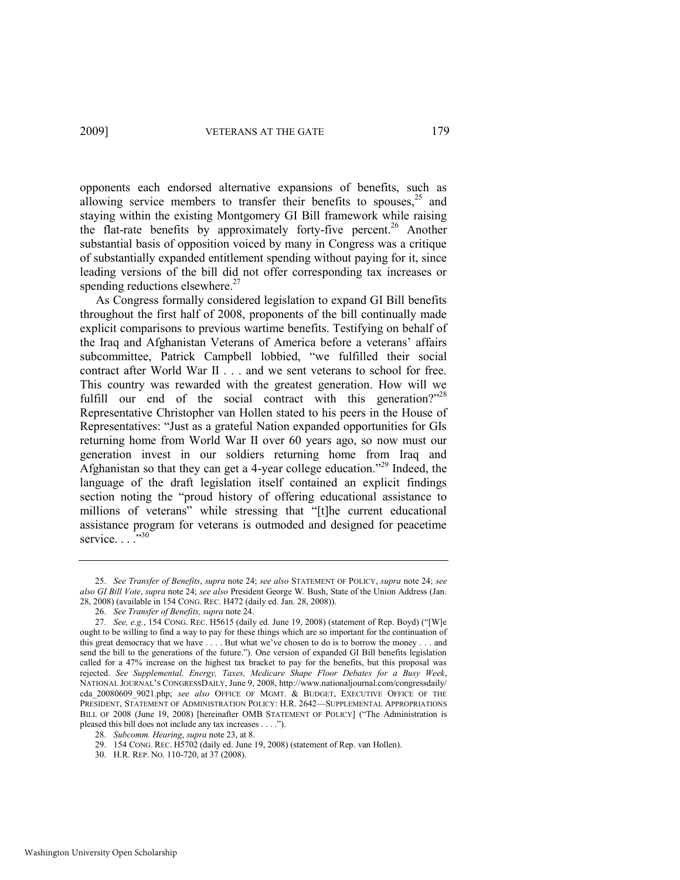<span id="page-5-1"></span>opponents each endorsed alternative expansions of benefits, such as allowing service members to transfer their benefits to spouses,  $25$  and staying within the existing Montgomery GI Bill framework while raising the flat-rate benefits by approximately forty-five percent.<sup>26</sup> Another substantial basis of opposition voiced by many in Congress was a critique of substantially expanded entitlement spending without paying for it, since

leading versions of the bill did not offer corresponding tax increases or

<span id="page-5-2"></span><span id="page-5-0"></span>spending reductions elsewhere.<sup>27</sup> As Congress formally considered legislation to expand GI Bill benefits throughout the first half of 2008, proponents of the bill continually made explicit comparisons to previous wartime benefits. Testifying on behalf of the Iraq and Afghanistan Veterans of America before a veterans' affairs subcommittee, Patrick Campbell lobbied, "we fulfilled their social contract after World War II . . . and we sent veterans to school for free. This country was rewarded with the greatest generation. How will we fulfill our end of the social contract with this generation?"<sup>28</sup> Representative Christopher van Hollen stated to his peers in the House of Representatives: "Just as a grateful Nation expanded opportunities for GIs returning home from World War II over 60 years ago, so now must our generation invest in our soldiers returning home from Iraq and Afghanistan so that they can get a 4-year college education.<sup> $22$ </sup> Indeed, the language of the draft legislation itself contained an explicit findings section noting the "proud history of offering educational assistance to millions of veterans" while stressing that "[t]he current educational assistance program for veterans is outmoded and designed for peacetime service.  $\ldots$ <sup>30</sup>

<span id="page-5-3"></span><sup>25.</sup> *See Transfer of Benefits*, *supra* not[e 24;](#page-4-0) *see also* STATEMENT OF POLICY, *supra* not[e 24;](#page-4-0) *see also GI Bill Vote*, *supra* not[e 24;](#page-4-0) *see also* President George W. Bush, State of the Union Address (Jan. 28, 2008) (available in 154 CONG. REC. H472 (daily ed. Jan. 28, 2008)).

<sup>26.</sup> *See Transfer of Benefits, supra* not[e 24.](#page-4-0)

<sup>27.</sup> *See, e.g.*, 154 CONG. REC. H5615 (daily ed. June 19, 2008) (statement of Rep. Boyd) ("[W]e ought to be willing to find a way to pay for these things which are so important for the continuation of this great democracy that we have . . . . But what we've chosen to do is to borrow the money . . . and send the bill to the generations of the future."). One version of expanded GI Bill benefits legislation called for a 47% increase on the highest tax bracket to pay for the benefits, but this proposal was rejected. *See Supplemental, Energy, Taxes, Medicare Shape Floor Debates for a Busy Week*, NATIONAL JOURNAL'S CONGRESSDAILY, June 9, 2008, http://www.nationaljournal.com/congressdaily/ cda\_20080609\_9021.php; *see also* OFFICE OF MGMT. & BUDGET, EXECUTIVE OFFICE OF THE PRESIDENT, STATEMENT OF ADMINISTRATION POLICY: H.R. 2642—SUPPLEMENTAL APPROPRIATIONS BILL OF 2008 (June 19, 2008) [hereinafter OMB STATEMENT OF POLICY] ("The Administration is pleased this bill does not include any tax increases . . . .").

<sup>28.</sup> *Subcomm. Hearing*, *supra* not[e 23,](#page-4-1) at 8.

<sup>29. 154</sup> CONG. REC. H5702 (daily ed. June 19, 2008) (statement of Rep. van Hollen).

<sup>30.</sup> H.R. REP. NO. 110-720, at 37 (2008).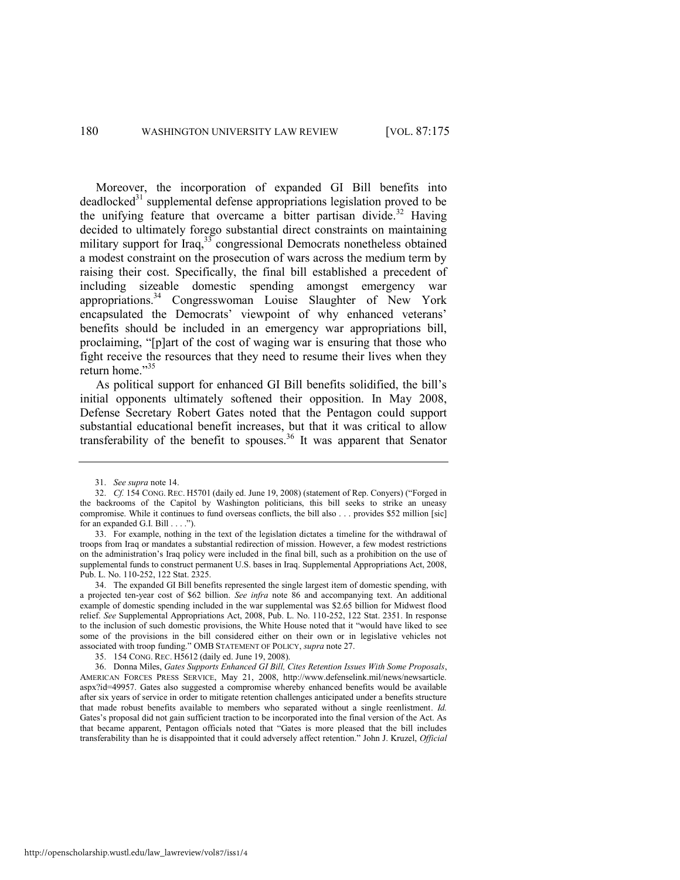Moreover, the incorporation of expanded GI Bill benefits into  $deadlocked<sup>31</sup>$  supplemental defense appropriations legislation proved to be the unifying feature that overcame a bitter partisan divide.<sup>32</sup> Having decided to ultimately forego substantial direct constraints on maintaining military support for Iraq,  $33\degree$  congressional Democrats nonetheless obtained a modest constraint on the prosecution of wars across the medium term by raising their cost. Specifically, the final bill established a precedent of including sizeable domestic spending amongst emergency war appropriations.<sup>34</sup> Congresswoman Louise Slaughter of New York encapsulated the Democrats' viewpoint of why enhanced veterans' benefits should be included in an emergency war appropriations bill, proclaiming, "[p]art of the cost of waging war is ensuring that those who fight receive the resources that they need to resume their lives when they return home."35

As political support for enhanced GI Bill benefits solidified, the bill's initial opponents ultimately softened their opposition. In May 2008, Defense Secretary Robert Gates noted that the Pentagon could support substantial educational benefit increases, but that it was critical to allow transferability of the benefit to spouses.<sup>36</sup> It was apparent that Senator

http://openscholarship.wustl.edu/law\_lawreview/vol87/iss1/4

<sup>31.</sup> *See supra* not[e 14.](#page-3-0) 

<sup>32.</sup> *Cf.* 154 CONG. REC. H5701 (daily ed. June 19, 2008) (statement of Rep. Conyers) ("Forged in the backrooms of the Capitol by Washington politicians, this bill seeks to strike an uneasy compromise. While it continues to fund overseas conflicts, the bill also . . . provides \$52 million [sic] for an expanded G.I. Bill . . . .").

<sup>33.</sup> For example, nothing in the text of the legislation dictates a timeline for the withdrawal of troops from Iraq or mandates a substantial redirection of mission. However, a few modest restrictions on the administration's Iraq policy were included in the final bill, such as a prohibition on the use of supplemental funds to construct permanent U.S. bases in Iraq. Supplemental Appropriations Act, 2008, Pub. L. No. 110-252, 122 Stat. 2325.

<sup>34.</sup> The expanded GI Bill benefits represented the single largest item of domestic spending, with a projected ten-year cost of \$62 billion. *See infra* note [86](#page-14-0) and accompanying text. An additional example of domestic spending included in the war supplemental was \$2.65 billion for Midwest flood relief. *See* Supplemental Appropriations Act, 2008, Pub. L. No. 110-252, 122 Stat. 2351. In response to the inclusion of such domestic provisions, the White House noted that it "would have liked to see some of the provisions in the bill considered either on their own or in legislative vehicles not associated with troop funding.‖ OMB STATEMENT OF POLICY, *supra* not[e 27.](#page-5-0) 

<sup>35. 154</sup> CONG. REC. H5612 (daily ed. June 19, 2008).

<sup>36.</sup> Donna Miles, *Gates Supports Enhanced GI Bill, Cites Retention Issues With Some Proposals*, AMERICAN FORCES PRESS SERVICE, May 21, 2008, http://www.defenselink.mil/news/newsarticle. aspx?id=49957. Gates also suggested a compromise whereby enhanced benefits would be available after six years of service in order to mitigate retention challenges anticipated under a benefits structure that made robust benefits available to members who separated without a single reenlistment. *Id.*  Gates's proposal did not gain sufficient traction to be incorporated into the final version of the Act. As that became apparent, Pentagon officials noted that "Gates is more pleased that the bill includes transferability than he is disappointed that it could adversely affect retention.‖ John J. Kruzel, *Official*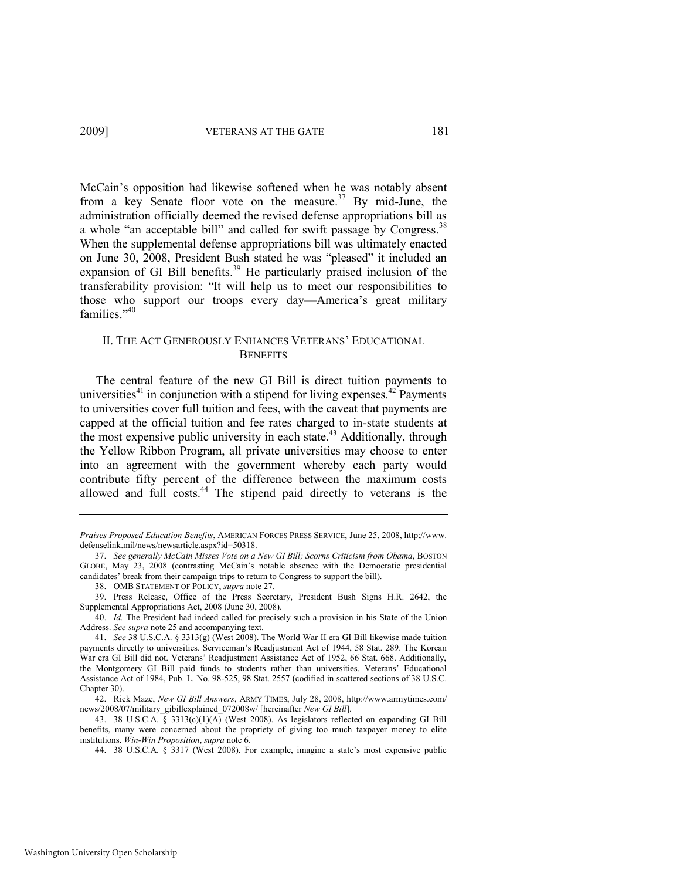McCain's opposition had likewise softened when he was notably absent from a key Senate floor vote on the measure.<sup>37</sup> By mid-June, the administration officially deemed the revised defense appropriations bill as a whole "an acceptable bill" and called for swift passage by Congress.<sup>38</sup> When the supplemental defense appropriations bill was ultimately enacted on June 30, 2008, President Bush stated he was "pleased" it included an expansion of GI Bill benefits.<sup>39</sup> He particularly praised inclusion of the transferability provision: "It will help us to meet our responsibilities to those who support our troops every day—America's great military families. $140$ 

#### <span id="page-7-3"></span><span id="page-7-2"></span>II. THE ACT GENEROUSLY ENHANCES VETERANS' EDUCATIONAL **BENEFITS**

<span id="page-7-0"></span>The central feature of the new GI Bill is direct tuition payments to universities<sup>41</sup> in conjunction with a stipend for living expenses.<sup>42</sup> Payments to universities cover full tuition and fees, with the caveat that payments are capped at the official tuition and fee rates charged to in-state students at the most expensive public university in each state.<sup>43</sup> Additionally, through the Yellow Ribbon Program, all private universities may choose to enter into an agreement with the government whereby each party would contribute fifty percent of the difference between the maximum costs allowed and full costs.<sup>44</sup> The stipend paid directly to veterans is the

<span id="page-7-1"></span>*Praises Proposed Education Benefits*, AMERICAN FORCES PRESS SERVICE, June 25, 2008, http://www. defenselink.mil/news/newsarticle.aspx?id=50318.

<sup>37.</sup> *See generally McCain Misses Vote on a New GI Bill; Scorns Criticism from Obama*, BOSTON GLOBE, May 23, 2008 (contrasting McCain's notable absence with the Democratic presidential candidates' break from their campaign trips to return to Congress to support the bill).

<sup>38.</sup> OMB STATEMENT OF POLICY, *supra* not[e 27.](#page-5-0) 

<sup>39.</sup> Press Release, Office of the Press Secretary, President Bush Signs H.R. 2642, the Supplemental Appropriations Act, 2008 (June 30, 2008).

<sup>40.</sup> *Id.* The President had indeed called for precisely such a provision in his State of the Union Address. *See supra* not[e 25 a](#page-5-1)nd accompanying text.

<sup>41.</sup> *See* 38 U.S.C.A. § 3313(g) (West 2008). The World War II era GI Bill likewise made tuition payments directly to universities. Serviceman's Readjustment Act of 1944, 58 Stat. 289. The Korean War era GI Bill did not. Veterans' Readjustment Assistance Act of 1952, 66 Stat. 668. Additionally, the Montgomery GI Bill paid funds to students rather than universities. Veterans' Educational Assistance Act of 1984, Pub. L. No. 98-525, 98 Stat. 2557 (codified in scattered sections of 38 U.S.C. Chapter 30).

<sup>42.</sup> Rick Maze, *New GI Bill Answers*, ARMY TIMES, July 28, 2008, http://www.armytimes.com/ news/2008/07/military\_gibillexplained\_072008w/ [hereinafter *New GI Bill*].

<sup>43. 38</sup> U.S.C.A. § 3313(c)(1)(A) (West 2008). As legislators reflected on expanding GI Bill benefits, many were concerned about the propriety of giving too much taxpayer money to elite institutions. *Win-Win Proposition*, *supra* note [6.](#page-1-1) 

<sup>44.</sup> 38 U.S.C.A. § 3317 (West 2008). For example, imagine a state's most expensive public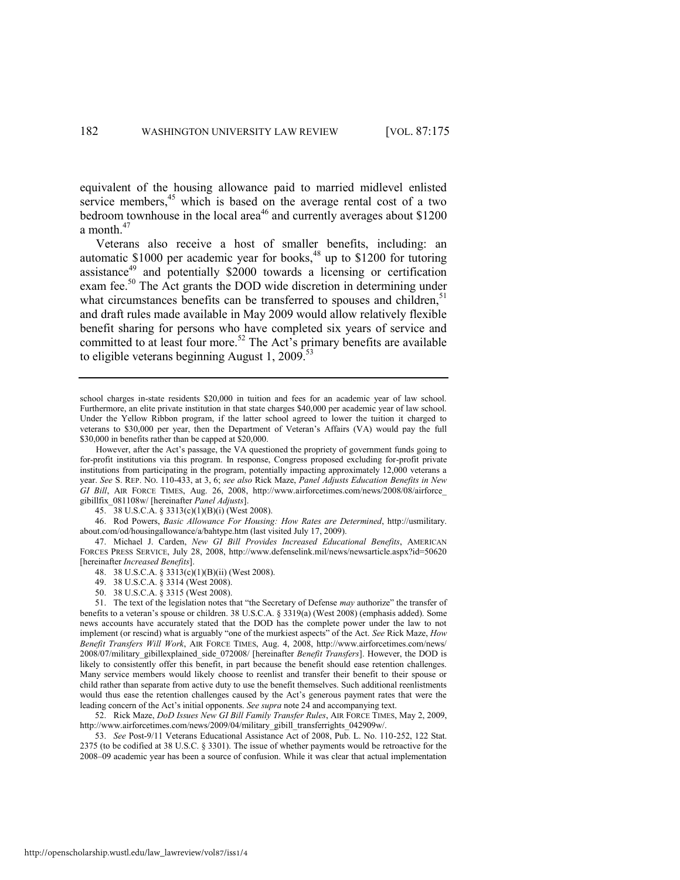<span id="page-8-4"></span><span id="page-8-0"></span>equivalent of the housing allowance paid to married midlevel enlisted service members, $45$  which is based on the average rental cost of a two bedroom townhouse in the local area<sup>46</sup> and currently averages about \$1200 a month.<sup>47</sup>

<span id="page-8-3"></span><span id="page-8-2"></span>Veterans also receive a host of smaller benefits, including: an automatic \$1000 per academic year for books, $48$  up to \$1200 for tutoring assistance<sup>49</sup> and potentially  $$2000$  towards a licensing or certification exam fee.<sup>50</sup> The Act grants the DOD wide discretion in determining under what circumstances benefits can be transferred to spouses and children,<sup>51</sup> and draft rules made available in May 2009 would allow relatively flexible benefit sharing for persons who have completed six years of service and committed to at least four more.<sup>52</sup> The Act's primary benefits are available to eligible veterans beginning August 1, 2009.<sup>53</sup>

45. 38 U.S.C.A. § 3313(c)(1)(B)(i) (West 2008).

46. Rod Powers, *Basic Allowance For Housing: How Rates are Determined*, http://usmilitary. about.com/od/housingallowance/a/bahtype.htm (last visited July 17, 2009).

47. Michael J. Carden, *New GI Bill Provides Increased Educational Benefits*, AMERICAN FORCES PRESS SERVICE, July 28, 2008, http://www.defenselink.mil/news/newsarticle.aspx?id=50620 [hereinafter *Increased Benefits*].

- 48. 38 U.S.C.A. § 3313(c)(1)(B)(ii) (West 2008).
- 49. 38 U.S.C.A. § 3314 (West 2008).
- 50. 38 U.S.C.A. § 3315 (West 2008).

51. The text of the legislation notes that "the Secretary of Defense *may* authorize" the transfer of benefits to a veteran's spouse or children. 38 U.S.C.A. § 3319(a) (West 2008) (emphasis added). Some news accounts have accurately stated that the DOD has the complete power under the law to not implement (or rescind) what is arguably "one of the murkiest aspects" of the Act. *See* Rick Maze, *How Benefit Transfers Will Work*, AIR FORCE TIMES, Aug. 4, 2008, http://www.airforcetimes.com/news/ 2008/07/military\_gibillexplained\_side\_072008/ [hereinafter *Benefit Transfers*]. However, the DOD is likely to consistently offer this benefit, in part because the benefit should ease retention challenges. Many service members would likely choose to reenlist and transfer their benefit to their spouse or child rather than separate from active duty to use the benefit themselves. Such additional reenlistments would thus ease the retention challenges caused by the Act's generous payment rates that were the leading concern of the Act's initial opponents. *See supra* not[e 24 a](#page-4-0)nd accompanying text.

52. Rick Maze, *DoD Issues New GI Bill Family Transfer Rules*, AIR FORCE TIMES, May 2, 2009, http://www.airforcetimes.com/news/2009/04/military\_gibill\_transferrights\_042909w/.

53. *See* Post-9/11 Veterans Educational Assistance Act of 2008, Pub. L. No. 110-252, 122 Stat. 2375 (to be codified at 38 U.S.C. § 3301). The issue of whether payments would be retroactive for the 2008–09 academic year has been a source of confusion. While it was clear that actual implementation

<span id="page-8-1"></span>school charges in-state residents \$20,000 in tuition and fees for an academic year of law school. Furthermore, an elite private institution in that state charges \$40,000 per academic year of law school. Under the Yellow Ribbon program, if the latter school agreed to lower the tuition it charged to veterans to \$30,000 per year, then the Department of Veteran's Affairs (VA) would pay the full \$30,000 in benefits rather than be capped at \$20,000.

However, after the Act's passage, the VA questioned the propriety of government funds going to for-profit institutions via this program. In response, Congress proposed excluding for-profit private institutions from participating in the program, potentially impacting approximately 12,000 veterans a year. *See* S. REP. NO. 110-433, at 3, 6; *see also* Rick Maze, *Panel Adjusts Education Benefits in New GI Bill*, AIR FORCE TIMES, Aug. 26, 2008, http://www.airforcetimes.com/news/2008/08/airforce\_ gibillfix\_081108w/ [hereinafter *Panel Adjusts*].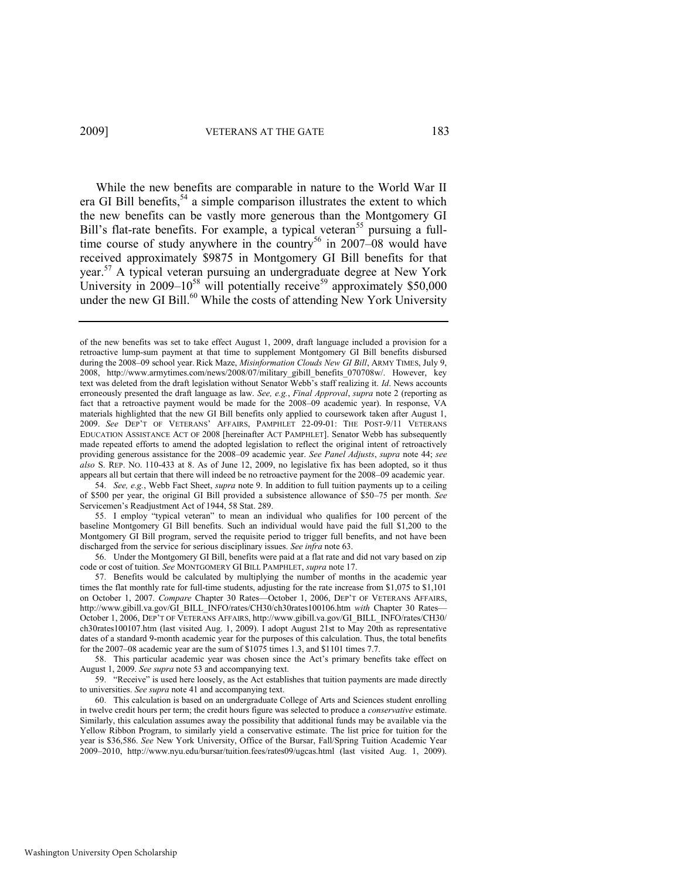While the new benefits are comparable in nature to the World War II era GI Bill benefits,  $54$  a simple comparison illustrates the extent to which the new benefits can be vastly more generous than the Montgomery GI Bill's flat-rate benefits. For example, a typical veteran<sup>55</sup> pursuing a fulltime course of study anywhere in the country<sup>56</sup> in 2007–08 would have received approximately \$9875 in Montgomery GI Bill benefits for that year.<sup>57</sup> A typical veteran pursuing an undergraduate degree at New York University in 2009–10 $58$  will potentially receive<sup>59</sup> approximately \$50,000 under the new GI Bill.<sup>60</sup> While the costs of attending New York University

of the new benefits was set to take effect August 1, 2009, draft language included a provision for a retroactive lump-sum payment at that time to supplement Montgomery GI Bill benefits disbursed during the 2008–09 school year. Rick Maze, *Misinformation Clouds New GI Bill*, ARMY TIMES, July 9, 2008, http://www.armytimes.com/news/2008/07/military\_gibill\_benefits\_070708w/. However, key text was deleted from the draft legislation without Senator Webb's staff realizing it. *Id*. News accounts erroneously presented the draft language as law. *See, e.g.*, *Final Approval*, *supra* note [2](#page-1-2) (reporting as fact that a retroactive payment would be made for the 2008–09 academic year). In response, VA materials highlighted that the new GI Bill benefits only applied to coursework taken after August 1, 2009. *See* DEP'T OF VETERANS' AFFAIRS, PAMPHLET 22-09-01: THE POST-9/11 VETERANS EDUCATION ASSISTANCE ACT OF 2008 [hereinafter ACT PAMPHLET]. Senator Webb has subsequently made repeated efforts to amend the adopted legislation to reflect the original intent of retroactively providing generous assistance for the 2008–09 academic year. *See Panel Adjusts*, *supra* note [44;](#page-7-1) *see also* S. REP. NO. 110-433 at 8. As of June 12, 2009, no legislative fix has been adopted, so it thus appears all but certain that there will indeed be no retroactive payment for the 2008–09 academic year.

<sup>54.</sup> *See, e.g.*, Webb Fact Sheet, *supra* not[e 9.](#page-2-0) In addition to full tuition payments up to a ceiling of \$500 per year, the original GI Bill provided a subsistence allowance of \$50–75 per month. *See*  Servicemen's Readjustment Act of 1944, 58 Stat. 289.

<sup>55.</sup> I employ "typical veteran" to mean an individual who qualifies for 100 percent of the baseline Montgomery GI Bill benefits. Such an individual would have paid the full \$1,200 to the Montgomery GI Bill program, served the requisite period to trigger full benefits, and not have been discharged from the service for serious disciplinary issues. *See infra* not[e 63.](#page-10-0)

<sup>56.</sup> Under the Montgomery GI Bill, benefits were paid at a flat rate and did not vary based on zip code or cost of tuition. *See* MONTGOMERY GI BILL PAMPHLET, *supra* note [17.](#page-3-1) 

<sup>57.</sup> Benefits would be calculated by multiplying the number of months in the academic year times the flat monthly rate for full-time students, adjusting for the rate increase from \$1,075 to \$1,101 on October 1, 2007. *Compare* Chapter 30 Rates—October 1, 2006, DEP'T OF VETERANS AFFAIRS, http://www.gibill.va.gov/GI\_BILL\_INFO/rates/CH30/ch30rates100106.htm *with* Chapter 30 Rates— October 1, 2006, DEP'T OF VETERANS AFFAIRS, http://www.gibill.va.gov/GI\_BILL\_INFO/rates/CH30/ ch30rates100107.htm (last visited Aug. 1, 2009). I adopt August 21st to May 20th as representative dates of a standard 9-month academic year for the purposes of this calculation. Thus, the total benefits for the 2007–08 academic year are the sum of \$1075 times 1.3, and \$1101 times 7.7.

<sup>58.</sup> This particular academic year was chosen since the Act's primary benefits take effect on August 1, 2009. *See supra* not[e 53](#page-8-1) and accompanying text.

<sup>59. &</sup>quot;Receive" is used here loosely, as the Act establishes that tuition payments are made directly to universities. *See supra* not[e 41](#page-7-0) and accompanying text.

<sup>60.</sup> This calculation is based on an undergraduate College of Arts and Sciences student enrolling in twelve credit hours per term; the credit hours figure was selected to produce a *conservative* estimate. Similarly, this calculation assumes away the possibility that additional funds may be available via the Yellow Ribbon Program, to similarly yield a conservative estimate. The list price for tuition for the year is \$36,586. *See* New York University, Office of the Bursar, Fall/Spring Tuition Academic Year 2009–2010, http://www.nyu.edu/bursar/tuition.fees/rates09/ugcas.html (last visited Aug. 1, 2009).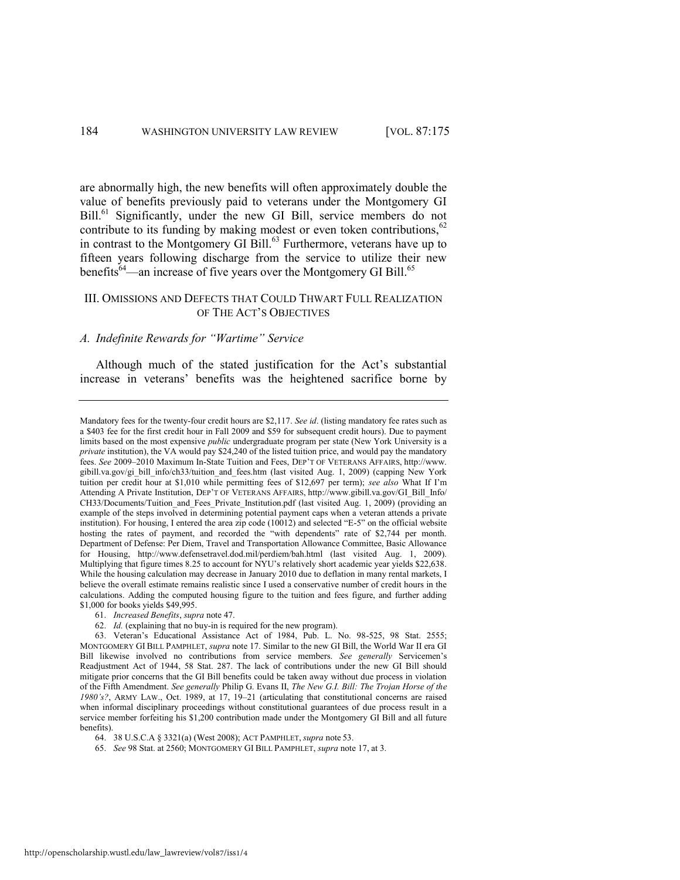are abnormally high, the new benefits will often approximately double the value of benefits previously paid to veterans under the Montgomery GI Bill.<sup>61</sup> Significantly, under the new GI Bill, service members do not contribute to its funding by making modest or even token contributions,  $62$ in contrast to the Montgomery GI Bill.<sup>63</sup> Furthermore, veterans have up to fifteen years following discharge from the service to utilize their new benefits $^{64}$ —an increase of five years over the Montgomery GI Bill.<sup>65</sup>

#### <span id="page-10-2"></span><span id="page-10-1"></span><span id="page-10-0"></span>III. OMISSIONS AND DEFECTS THAT COULD THWART FULL REALIZATION OF THE ACT'S OBJECTIVES

#### *A. Indefinite Rewards for "Wartime" Service*

Although much of the stated justification for the Act's substantial increase in veterans' benefits was the heightened sacrifice borne by

Mandatory fees for the twenty-four credit hours are \$2,117. *See id*. (listing mandatory fee rates such as a \$403 fee for the first credit hour in Fall 2009 and \$59 for subsequent credit hours). Due to payment limits based on the most expensive *public* undergraduate program per state (New York University is a *private* institution), the VA would pay \$24,240 of the listed tuition price, and would pay the mandatory fees. *See* 2009–2010 Maximum In-State Tuition and Fees, DEP'T OF VETERANS AFFAIRS, http://www. gibill.va.gov/gi\_bill\_info/ch33/tuition\_and\_fees.htm (last visited Aug. 1, 2009) (capping New York tuition per credit hour at \$1,010 while permitting fees of \$12,697 per term); *see also* What If I'm Attending A Private Institution, DEP'T OF VETERANS AFFAIRS, http://www.gibill.va.gov/GI\_Bill\_Info/ CH33/Documents/Tuition\_and\_Fees\_Private\_Institution.pdf (last visited Aug. 1, 2009) (providing an example of the steps involved in determining potential payment caps when a veteran attends a private institution). For housing, I entered the area zip code  $(10012)$  and selected "E-5" on the official website hosting the rates of payment, and recorded the "with dependents" rate of \$2,744 per month. Department of Defense: Per Diem, Travel and Transportation Allowance Committee, Basic Allowance for Housing, http://www.defensetravel.dod.mil/perdiem/bah.html (last visited Aug. 1, 2009). Multiplying that figure times 8.25 to account for NYU's relatively short academic year yields \$22,638. While the housing calculation may decrease in January 2010 due to deflation in many rental markets, I believe the overall estimate remains realistic since I used a conservative number of credit hours in the calculations. Adding the computed housing figure to the tuition and fees figure, and further adding \$1,000 for books yields \$49,995.

<sup>61.</sup> *Increased Benefits*, *supra* not[e 47.](#page-8-2) 

<sup>62.</sup> *Id.* (explaining that no buy-in is required for the new program).

<sup>63.</sup> Veteran's Educational Assistance Act of 1984, Pub. L. No. 98-525, 98 Stat. 2555; MONTGOMERY GI BILL PAMPHLET, *supra* note [17.](#page-3-1) Similar to the new GI Bill, the World War II era GI Bill likewise involved no contributions from service members. *See generally* Servicemen's Readjustment Act of 1944, 58 Stat. 287. The lack of contributions under the new GI Bill should mitigate prior concerns that the GI Bill benefits could be taken away without due process in violation of the Fifth Amendment. *See generally* Philip G. Evans II, *The New G.I. Bill: The Trojan Horse of the 1980's?*, ARMY LAW., Oct. 1989, at 17, 19–21 (articulating that constitutional concerns are raised when informal disciplinary proceedings without constitutional guarantees of due process result in a service member forfeiting his \$1,200 contribution made under the Montgomery GI Bill and all future benefits).

<sup>64. 38</sup> U.S.C.A § 3321(a) (West 2008); ACT PAMPHLET, *supra* note [53.](#page-8-1) 

<sup>65.</sup> *See* 98 Stat. at 2560; MONTGOMERY GI BILL PAMPHLET, *supra* not[e 17,](#page-3-1) at 3.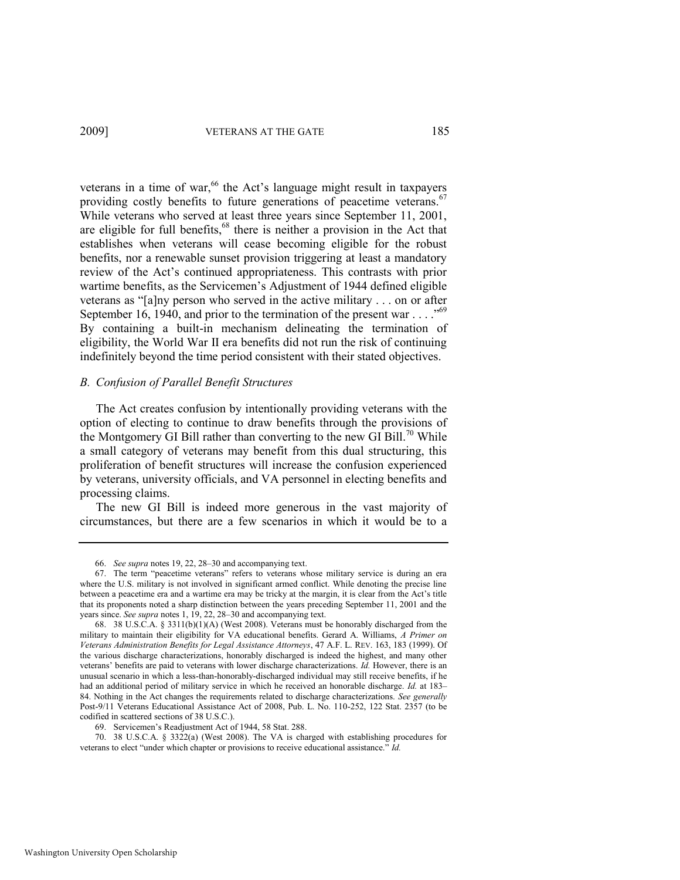<span id="page-11-0"></span>veterans in a time of war,<sup>66</sup> the Act's language might result in taxpayers providing costly benefits to future generations of peacetime veterans.<sup>67</sup> While veterans who served at least three years since September 11, 2001, are eligible for full benefits,<sup>68</sup> there is neither a provision in the Act that establishes when veterans will cease becoming eligible for the robust benefits, nor a renewable sunset provision triggering at least a mandatory review of the Act's continued appropriateness. This contrasts with prior wartime benefits, as the Servicemen's Adjustment of 1944 defined eligible veterans as "[a]ny person who served in the active military . . . on or after September 16, 1940, and prior to the termination of the present war . . . .<sup>569</sup> By containing a built-in mechanism delineating the termination of eligibility, the World War II era benefits did not run the risk of continuing indefinitely beyond the time period consistent with their stated objectives.

#### *B. Confusion of Parallel Benefit Structures*

The Act creates confusion by intentionally providing veterans with the option of electing to continue to draw benefits through the provisions of the Montgomery GI Bill rather than converting to the new GI Bill.<sup>70</sup> While a small category of veterans may benefit from this dual structuring, this proliferation of benefit structures will increase the confusion experienced by veterans, university officials, and VA personnel in electing benefits and processing claims.

The new GI Bill is indeed more generous in the vast majority of circumstances, but there are a few scenarios in which it would be to a

70. 38 U.S.C.A. § 3322(a) (West 2008). The VA is charged with establishing procedures for veterans to elect "under which chapter or provisions to receive educational assistance." *Id.* 

<sup>66.</sup> *See supra* note[s 19,](#page-4-2) [22,](#page-4-3) [28](#page-5-2)–[30 a](#page-5-3)nd accompanying text.

<sup>67.</sup> The term "peacetime veterans" refers to veterans whose military service is during an era where the U.S. military is not involved in significant armed conflict. While denoting the precise line between a peacetime era and a wartime era may be tricky at the margin, it is clear from the Act's title that its proponents noted a sharp distinction between the years preceding September 11, 2001 and the years since. *See supra* note[s 1,](#page-1-3) [19,](#page-4-2) [22,](#page-4-3) [28](#page-5-2)–[30 a](#page-5-3)nd accompanying text.

<sup>68. 38</sup> U.S.C.A. § 3311(b)(1)(A) (West 2008). Veterans must be honorably discharged from the military to maintain their eligibility for VA educational benefits. Gerard A. Williams, *A Primer on Veterans Administration Benefits for Legal Assistance Attorneys*, 47 A.F. L. REV. 163, 183 (1999). Of the various discharge characterizations, honorably discharged is indeed the highest, and many other veterans' benefits are paid to veterans with lower discharge characterizations. *Id.* However, there is an unusual scenario in which a less-than-honorably-discharged individual may still receive benefits, if he had an additional period of military service in which he received an honorable discharge. *Id.* at 183– 84. Nothing in the Act changes the requirements related to discharge characterizations. *See generally*  Post-9/11 Veterans Educational Assistance Act of 2008, Pub. L. No. 110-252, 122 Stat. 2357 (to be codified in scattered sections of 38 U.S.C.).

<sup>69.</sup> Servicemen's Readjustment Act of 1944, 58 Stat. 288.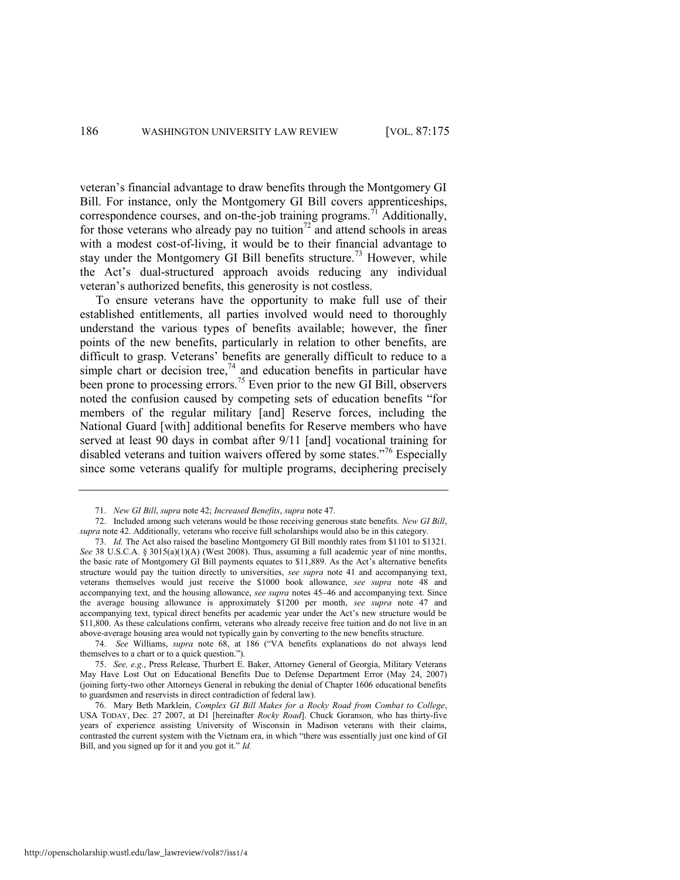<span id="page-12-2"></span>veteran's financial advantage to draw benefits through the Montgomery GI Bill. For instance, only the Montgomery GI Bill covers apprenticeships, correspondence courses, and on-the-job training programs.<sup>71</sup> Additionally, for those veterans who already pay no tuition<sup>72</sup> and attend schools in areas with a modest cost-of-living, it would be to their financial advantage to stay under the Montgomery GI Bill benefits structure.<sup>73</sup> However, while the Act's dual-structured approach avoids reducing any individual veteran's authorized benefits, this generosity is not costless.

<span id="page-12-0"></span>To ensure veterans have the opportunity to make full use of their established entitlements, all parties involved would need to thoroughly understand the various types of benefits available; however, the finer points of the new benefits, particularly in relation to other benefits, are difficult to grasp. Veterans' benefits are generally difficult to reduce to a simple chart or decision tree,<sup>74</sup> and education benefits in particular have been prone to processing errors.<sup>75</sup> Even prior to the new GI Bill, observers noted the confusion caused by competing sets of education benefits "for members of the regular military [and] Reserve forces, including the National Guard [with] additional benefits for Reserve members who have served at least 90 days in combat after 9/11 [and] vocational training for disabled veterans and tuition waivers offered by some states.<sup>776</sup> Especially since some veterans qualify for multiple programs, deciphering precisely

http://openscholarship.wustl.edu/law\_lawreview/vol87/iss1/4

<span id="page-12-1"></span><sup>71.</sup> *New GI Bill*, *supra* not[e 42;](#page-7-2) *Increased Benefits*, *supra* not[e 47.](#page-8-2)

<sup>72.</sup> Included among such veterans would be those receiving generous state benefits. *New GI Bill*, *supra* not[e 42.](#page-7-2) Additionally, veterans who receive full scholarships would also be in this category.

<sup>73.</sup> *Id.* The Act also raised the baseline Montgomery GI Bill monthly rates from \$1101 to \$1321. *See* 38 U.S.C.A. § 3015(a)(1)(A) (West 2008). Thus, assuming a full academic year of nine months, the basic rate of Montgomery GI Bill payments equates to \$11,889. As the Act's alternative benefits structure would pay the tuition directly to universities, *see supra* note [41](#page-7-0) and accompanying text, veterans themselves would just receive the \$1000 book allowance, *see supra* note [48](#page-8-3) and accompanying text, and the housing allowance, *see supra* notes [45](#page-8-0)–[46](#page-8-4) and accompanying text. Since the average housing allowance is approximately \$1200 per month, *see supra* note [47](#page-8-2) and accompanying text, typical direct benefits per academic year under the Act's new structure would be \$11,800. As these calculations confirm, veterans who already receive free tuition and do not live in an above-average housing area would not typically gain by converting to the new benefits structure.

<sup>74.</sup> *See* Williams, *supra* note [68](#page-11-0), at 186 ("VA benefits explanations do not always lend themselves to a chart or to a quick question.").

<sup>75.</sup> *See, e.g.*, Press Release, Thurbert E. Baker, Attorney General of Georgia, Military Veterans May Have Lost Out on Educational Benefits Due to Defense Department Error (May 24, 2007) (joining forty-two other Attorneys General in rebuking the denial of Chapter 1606 educational benefits to guardsmen and reservists in direct contradiction of federal law).

<sup>76.</sup> Mary Beth Marklein, *Complex GI Bill Makes for a Rocky Road from Combat to College*, USA TODAY, Dec. 27 2007, at D1 [hereinafter *Rocky Road*]. Chuck Goranson, who has thirty-five years of experience assisting University of Wisconsin in Madison veterans with their claims, contrasted the current system with the Vietnam era, in which "there was essentially just one kind of GI Bill, and you signed up for it and you got it." *Id.*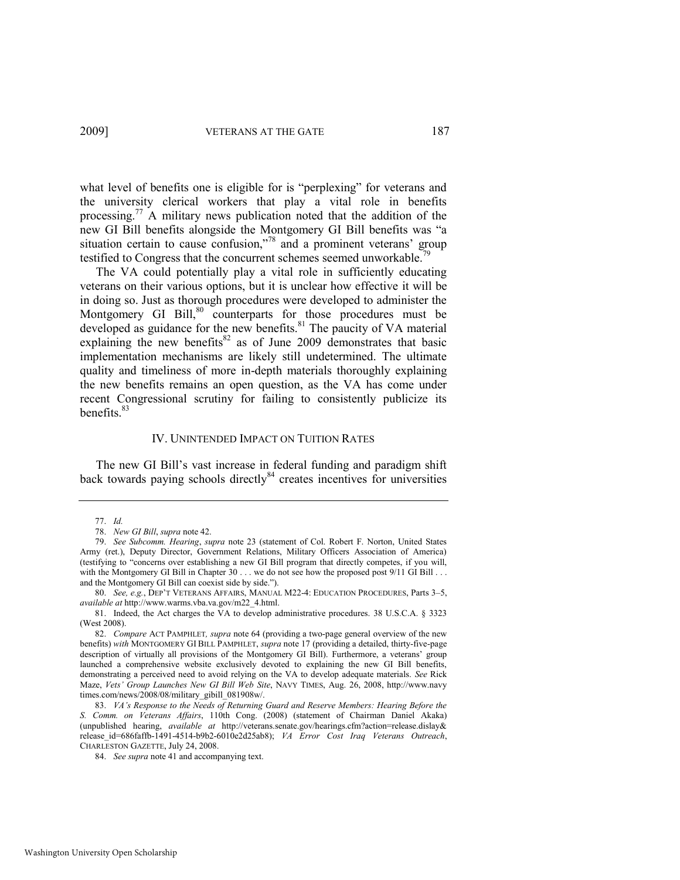<span id="page-13-0"></span>what level of benefits one is eligible for is "perplexing" for veterans and the university clerical workers that play a vital role in benefits processing.<sup>77</sup> A military news publication noted that the addition of the new GI Bill benefits alongside the Montgomery GI Bill benefits was "a situation certain to cause confusion, $n^{78}$  and a prominent veterans' group testified to Congress that the concurrent schemes seemed unworkable.<sup>79</sup>

The VA could potentially play a vital role in sufficiently educating veterans on their various options, but it is unclear how effective it will be in doing so. Just as thorough procedures were developed to administer the Montgomery GI Bill,<sup>80</sup> counterparts for those procedures must be developed as guidance for the new benefits.<sup>81</sup> The paucity of VA material explaining the new benefits<sup>82</sup> as of June 2009 demonstrates that basic implementation mechanisms are likely still undetermined. The ultimate quality and timeliness of more in-depth materials thoroughly explaining the new benefits remains an open question, as the VA has come under recent Congressional scrutiny for failing to consistently publicize its benefits $83$ 

#### <span id="page-13-1"></span>IV. UNINTENDED IMPACT ON TUITION RATES

The new GI Bill's vast increase in federal funding and paradigm shift back towards paying schools directly  $84$  creates incentives for universities

<sup>77.</sup> *Id.*

<sup>78.</sup> *New GI Bill*, *supra* not[e 42.](#page-7-2) 

<sup>79.</sup> *See Subcomm. Hearing*, *supra* note [23](#page-4-1) (statement of Col. Robert F. Norton, United States Army (ret.), Deputy Director, Government Relations, Military Officers Association of America) (testifying to "concerns over establishing a new GI Bill program that directly competes, if you will, with the Montgomery GI Bill in Chapter 30 . . . we do not see how the proposed post 9/11 GI Bill . . . and the Montgomery GI Bill can coexist side by side.").

<sup>80.</sup> *See, e.g.*, DEP'T VETERANS AFFAIRS, MANUAL M22-4: EDUCATION PROCEDURES, Parts 3–5, *available at* http://www.warms.vba.va.gov/m22\_4.html.

<sup>81.</sup> Indeed, the Act charges the VA to develop administrative procedures. 38 U.S.C.A. § 3323 (West 2008).

<sup>82.</sup> *Compare* ACT PAMPHLET*, supra* not[e 64](#page-10-1) (providing a two-page general overview of the new benefits) *with* MONTGOMERY GI BILL PAMPHLET, *supra* not[e 17](#page-3-1) (providing a detailed, thirty-five-page description of virtually all provisions of the Montgomery GI Bill). Furthermore, a veterans' group launched a comprehensive website exclusively devoted to explaining the new GI Bill benefits, demonstrating a perceived need to avoid relying on the VA to develop adequate materials. *See* Rick Maze, *Vets' Group Launches New GI Bill Web Site*, NAVY TIMES, Aug. 26, 2008, http://www.navy times.com/news/2008/08/military\_gibill\_081908w/.

<sup>83.</sup> *VA's Response to the Needs of Returning Guard and Reserve Members: Hearing Before the S. Comm. on Veterans Affairs*, 110th Cong. (2008) (statement of Chairman Daniel Akaka) (unpublished hearing, *available at* http://veterans.senate.gov/hearings.cfm?action=release.dislay& release\_id=686faffb-1491-4514-b9b2-6010e2d25ab8); *VA Error Cost Iraq Veterans Outreach*, CHARLESTON GAZETTE, July 24, 2008.

<sup>84.</sup> *See supra* not[e 41 a](#page-7-0)nd accompanying text.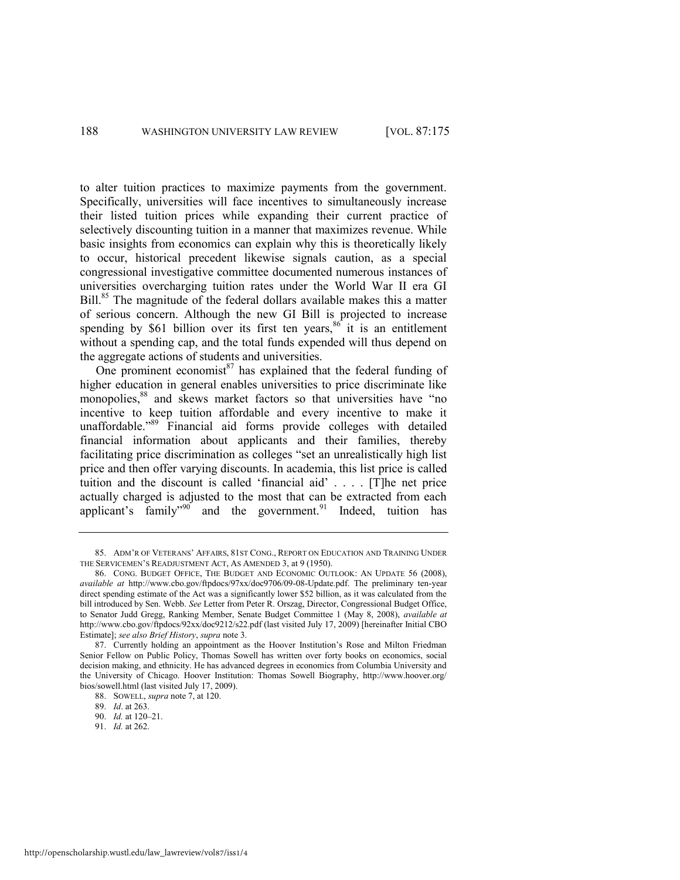to alter tuition practices to maximize payments from the government. Specifically, universities will face incentives to simultaneously increase their listed tuition prices while expanding their current practice of selectively discounting tuition in a manner that maximizes revenue. While basic insights from economics can explain why this is theoretically likely to occur, historical precedent likewise signals caution, as a special congressional investigative committee documented numerous instances of universities overcharging tuition rates under the World War II era GI Bill.<sup>85</sup> The magnitude of the federal dollars available makes this a matter of serious concern. Although the new GI Bill is projected to increase spending by \$61 billion over its first ten years,  $86^{\circ}$  it is an entitlement without a spending cap, and the total funds expended will thus depend on the aggregate actions of students and universities.

<span id="page-14-1"></span><span id="page-14-0"></span>One prominent economist $87$  has explained that the federal funding of higher education in general enables universities to price discriminate like monopolies,<sup>88</sup> and skews market factors so that universities have "no incentive to keep tuition affordable and every incentive to make it unaffordable."<sup>89</sup> Financial aid forms provide colleges with detailed financial information about applicants and their families, thereby facilitating price discrimination as colleges "set an unrealistically high list price and then offer varying discounts. In academia, this list price is called tuition and the discount is called 'financial aid'  $\ldots$  . [T]he net price actually charged is adjusted to the most that can be extracted from each applicant's family<sup>990</sup> and the government.<sup>91</sup> Indeed, tuition has

91. *Id.* at 262.

<sup>85.</sup> ADM'R OF VETERANS' AFFAIRS, 81ST CONG., REPORT ON EDUCATION AND TRAINING UNDER THE SERVICEMEN'S READJUSTMENT ACT, AS AMENDED 3, at 9 (1950).

<sup>86.</sup> CONG. BUDGET OFFICE, THE BUDGET AND ECONOMIC OUTLOOK: AN UPDATE 56 (2008), *available at* http://www.cbo.gov/ftpdocs/97xx/doc9706/09-08-Update.pdf. The preliminary ten-year direct spending estimate of the Act was a significantly lower \$52 billion, as it was calculated from the bill introduced by Sen. Webb. *See* Letter from Peter R. Orszag, Director, Congressional Budget Office, to Senator Judd Gregg, Ranking Member, Senate Budget Committee 1 (May 8, 2008), *available at* http://www.cbo.gov/ftpdocs/92xx/doc9212/s22.pdf (last visited July 17, 2009) [hereinafter Initial CBO Estimate]; *see also Brief History*, *supra* not[e 3.](#page-1-0) 

<sup>87.</sup> Currently holding an appointment as the Hoover Institution's Rose and Milton Friedman Senior Fellow on Public Policy, Thomas Sowell has written over forty books on economics, social decision making, and ethnicity. He has advanced degrees in economics from Columbia University and the University of Chicago. Hoover Institution: Thomas Sowell Biography, http://www.hoover.org/ bios/sowell.html (last visited July 17, 2009).

<sup>88.</sup> SOWELL, *supra* not[e 7,](#page-1-4) at 120.

<sup>89.</sup> *Id*. at 263.

<sup>90.</sup> *Id.* at 120–21.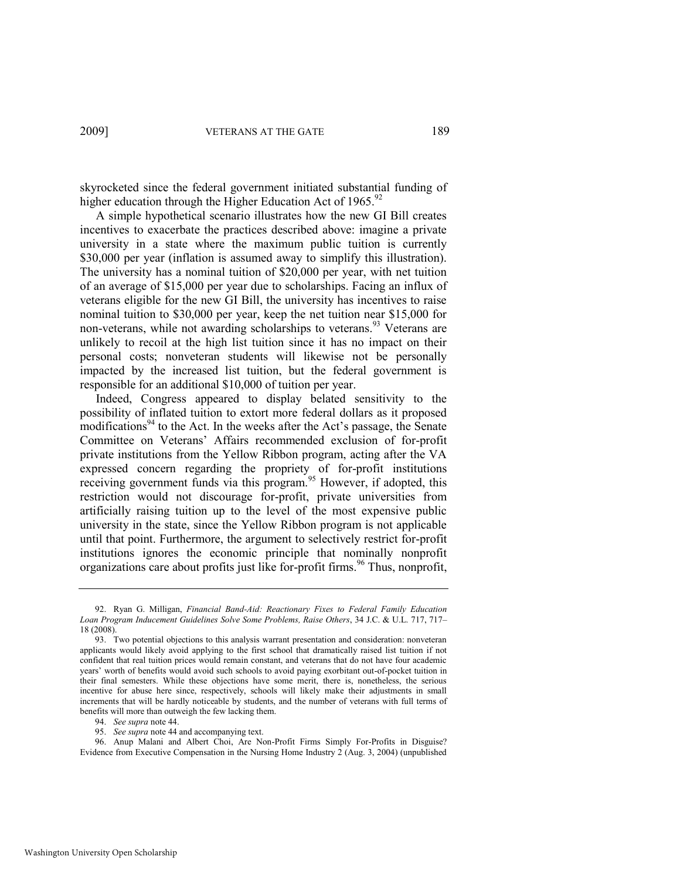skyrocketed since the federal government initiated substantial funding of higher education through the Higher Education Act of  $1965$ .<sup>92</sup>

A simple hypothetical scenario illustrates how the new GI Bill creates incentives to exacerbate the practices described above: imagine a private university in a state where the maximum public tuition is currently \$30,000 per year (inflation is assumed away to simplify this illustration). The university has a nominal tuition of \$20,000 per year, with net tuition of an average of \$15,000 per year due to scholarships. Facing an influx of veterans eligible for the new GI Bill, the university has incentives to raise nominal tuition to \$30,000 per year, keep the net tuition near \$15,000 for non-veterans, while not awarding scholarships to veterans.<sup>93</sup> Veterans are unlikely to recoil at the high list tuition since it has no impact on their personal costs; nonveteran students will likewise not be personally impacted by the increased list tuition, but the federal government is responsible for an additional \$10,000 of tuition per year.

Indeed, Congress appeared to display belated sensitivity to the possibility of inflated tuition to extort more federal dollars as it proposed modifications<sup>94</sup> to the Act. In the weeks after the Act's passage, the Senate Committee on Veterans' Affairs recommended exclusion of for-profit private institutions from the Yellow Ribbon program, acting after the VA expressed concern regarding the propriety of for-profit institutions receiving government funds via this program.<sup>95</sup> However, if adopted, this restriction would not discourage for-profit, private universities from artificially raising tuition up to the level of the most expensive public university in the state, since the Yellow Ribbon program is not applicable until that point. Furthermore, the argument to selectively restrict for-profit institutions ignores the economic principle that nominally nonprofit organizations care about profits just like for-profit firms.<sup>96</sup> Thus, nonprofit,

94. *See supra* not[e 44.](#page-7-1) 

96. Anup Malani and Albert Choi, Are Non-Profit Firms Simply For-Profits in Disguise? Evidence from Executive Compensation in the Nursing Home Industry 2 (Aug. 3, 2004) (unpublished

<sup>92.</sup> Ryan G. Milligan, *Financial Band-Aid: Reactionary Fixes to Federal Family Education Loan Program Inducement Guidelines Solve Some Problems, Raise Others*, 34 J.C. & U.L. 717, 717– 18 (2008).

<sup>93.</sup> Two potential objections to this analysis warrant presentation and consideration: nonveteran applicants would likely avoid applying to the first school that dramatically raised list tuition if not confident that real tuition prices would remain constant, and veterans that do not have four academic years' worth of benefits would avoid such schools to avoid paying exorbitant out-of-pocket tuition in their final semesters. While these objections have some merit, there is, nonetheless, the serious incentive for abuse here since, respectively, schools will likely make their adjustments in small increments that will be hardly noticeable by students, and the number of veterans with full terms of benefits will more than outweigh the few lacking them.

<sup>95.</sup> *See supra* not[e 44 a](#page-7-1)nd accompanying text.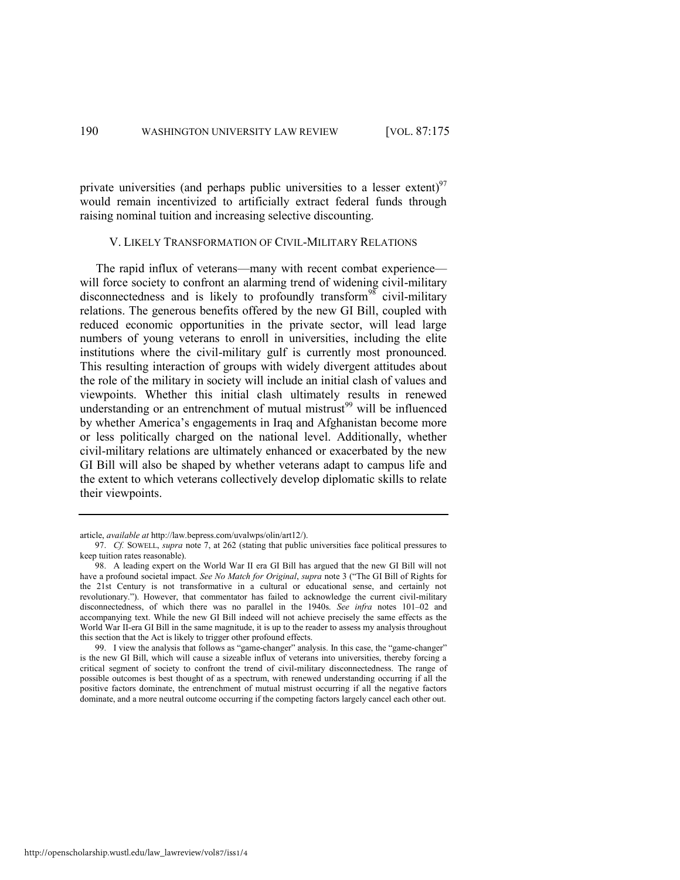private universities (and perhaps public universities to a lesser extent)<sup>97</sup> would remain incentivized to artificially extract federal funds through raising nominal tuition and increasing selective discounting.

#### <span id="page-16-0"></span>V. LIKELY TRANSFORMATION OF CIVIL-MILITARY RELATIONS

The rapid influx of veterans—many with recent combat experience will force society to confront an alarming trend of widening civil-military disconnectedness and is likely to profoundly transform<sup>98</sup> civil-military relations. The generous benefits offered by the new GI Bill, coupled with reduced economic opportunities in the private sector, will lead large numbers of young veterans to enroll in universities, including the elite institutions where the civil-military gulf is currently most pronounced. This resulting interaction of groups with widely divergent attitudes about the role of the military in society will include an initial clash of values and viewpoints. Whether this initial clash ultimately results in renewed understanding or an entrenchment of mutual mistrust<sup>99</sup> will be influenced by whether America's engagements in Iraq and Afghanistan become more or less politically charged on the national level. Additionally, whether civil-military relations are ultimately enhanced or exacerbated by the new GI Bill will also be shaped by whether veterans adapt to campus life and the extent to which veterans collectively develop diplomatic skills to relate their viewpoints.

article, *available at* http://law.bepress.com/uvalwps/olin/art12/).

<sup>97.</sup> *Cf.* SOWELL, *supra* not[e 7,](#page-1-4) at 262 (stating that public universities face political pressures to keep tuition rates reasonable).

<sup>98.</sup> A leading expert on the World War II era GI Bill has argued that the new GI Bill will not have a profound societal impact. See No Match for Original, *supra* not[e 3](#page-1-0) ("The GI Bill of Rights for the 21st Century is not transformative in a cultural or educational sense, and certainly not revolutionary.‖). However, that commentator has failed to acknowledge the current civil-military disconnectedness, of which there was no parallel in the 1940s. *See infra* notes [101](#page-17-0)–02 and accompanying text. While the new GI Bill indeed will not achieve precisely the same effects as the World War II-era GI Bill in the same magnitude, it is up to the reader to assess my analysis throughout this section that the Act is likely to trigger other profound effects.

<sup>99.</sup> I view the analysis that follows as "game-changer" analysis. In this case, the "game-changer" is the new GI Bill, which will cause a sizeable influx of veterans into universities, thereby forcing a critical segment of society to confront the trend of civil-military disconnectedness. The range of possible outcomes is best thought of as a spectrum, with renewed understanding occurring if all the positive factors dominate, the entrenchment of mutual mistrust occurring if all the negative factors dominate, and a more neutral outcome occurring if the competing factors largely cancel each other out.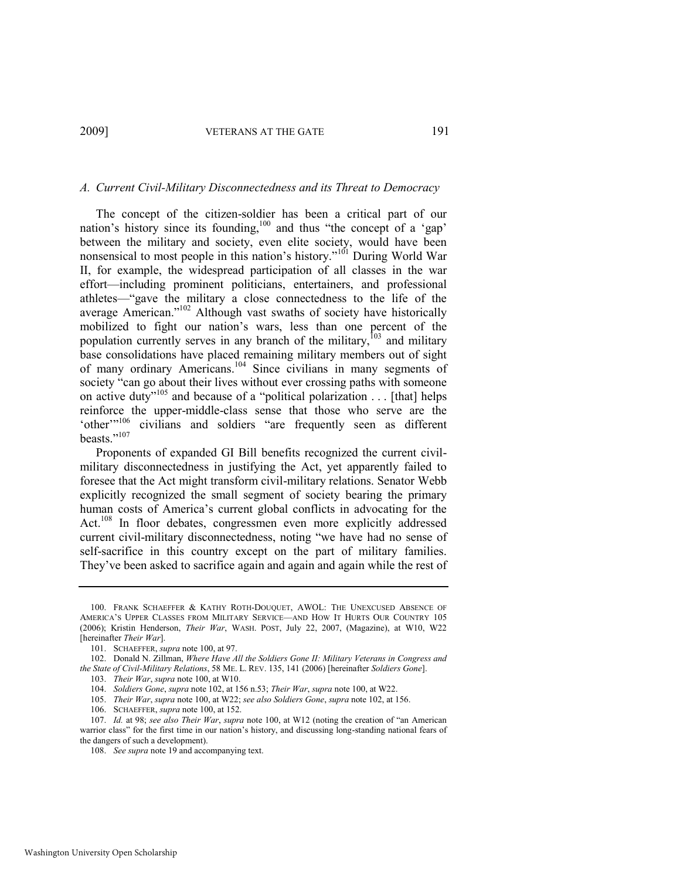#### *A. Current Civil-Military Disconnectedness and its Threat to Democracy*

<span id="page-17-2"></span><span id="page-17-1"></span><span id="page-17-0"></span>The concept of the citizen-soldier has been a critical part of our nation's history since its founding,<sup>100</sup> and thus "the concept of a 'gap' between the military and society, even elite society, would have been nonsensical to most people in this nation's history."<sup>101</sup> During World War II, for example, the widespread participation of all classes in the war effort—including prominent politicians, entertainers, and professional athletes—"gave the military a close connectedness to the life of the average American."<sup>102</sup> Although vast swaths of society have historically mobilized to fight our nation's wars, less than one percent of the population currently serves in any branch of the military,<sup>103</sup> and military base consolidations have placed remaining military members out of sight of many ordinary Americans.<sup>104</sup> Since civilians in many segments of society "can go about their lives without ever crossing paths with someone on active duty"<sup>105</sup> and because of a "political polarization . . . [that] helps reinforce the upper-middle-class sense that those who serve are the 'other'"<sup>106</sup> civilians and soldiers "are frequently seen as different beasts."<sup>107</sup>

Proponents of expanded GI Bill benefits recognized the current civilmilitary disconnectedness in justifying the Act, yet apparently failed to foresee that the Act might transform civil-military relations. Senator Webb explicitly recognized the small segment of society bearing the primary human costs of America's current global conflicts in advocating for the Act.<sup>108</sup> In floor debates, congressmen even more explicitly addressed current civil-military disconnectedness, noting "we have had no sense of self-sacrifice in this country except on the part of military families. They've been asked to sacrifice again and again and again while the rest of

- 105. *Their War*, *supra* not[e 100,](#page-17-1) at W22; *see also Soldiers Gone*, *supra* not[e 102,](#page-17-2) at 156.
- 106. SCHAEFFER, *supra* not[e 100,](#page-17-1) at 152.

<sup>100.</sup> FRANK SCHAEFFER & KATHY ROTH-DOUQUET, AWOL: THE UNEXCUSED ABSENCE OF AMERICA'S UPPER CLASSES FROM MILITARY SERVICE—AND HOW IT HURTS OUR COUNTRY 105 (2006); Kristin Henderson, *Their War*, WASH. POST, July 22, 2007, (Magazine), at W10, W22 [hereinafter *Their War*].

<sup>101.</sup> SCHAEFFER, *supra* not[e 100,](#page-17-1) at 97.

<sup>102.</sup> Donald N. Zillman, *Where Have All the Soldiers Gone II: Military Veterans in Congress and the State of Civil-Military Relations*, 58 ME. L. REV. 135, 141 (2006) [hereinafter *Soldiers Gone*].

<sup>103.</sup> *Their War*, *supra* not[e 100,](#page-17-1) at W10.

<sup>104.</sup> *Soldiers Gone*, *supra* note [102,](#page-17-2) at 156 n.53; *Their War*, *supra* not[e 100,](#page-17-1) at W22.

<sup>107.</sup> *Id.* at 98; *see also Their War, supra* not[e 100](#page-17-1), at W12 (noting the creation of "an American" warrior class" for the first time in our nation's history, and discussing long-standing national fears of the dangers of such a development).

<sup>108.</sup> *See supra* not[e 19 a](#page-4-2)nd accompanying text.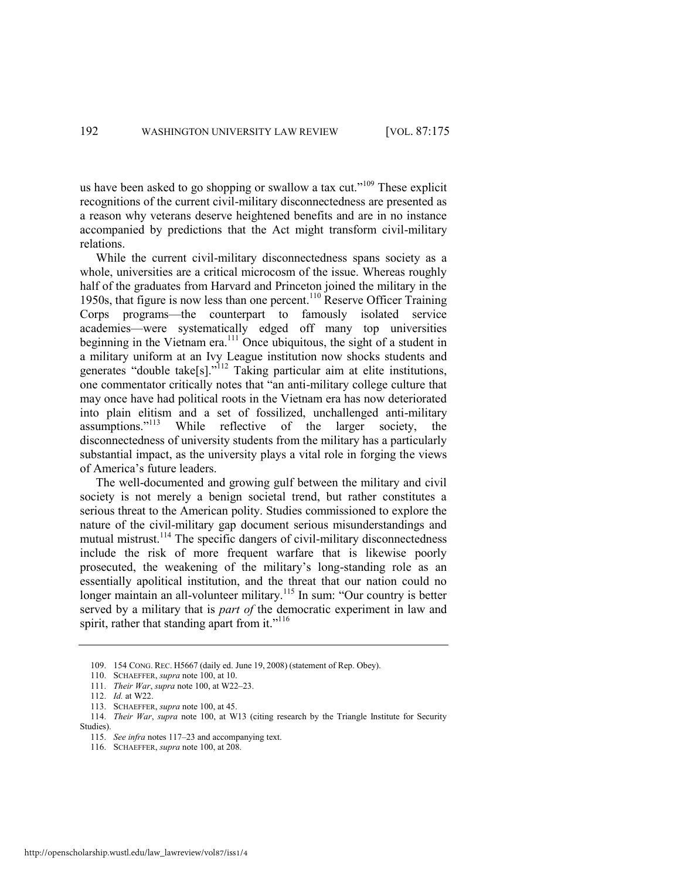us have been asked to go shopping or swallow a tax cut."<sup>109</sup> These explicit recognitions of the current civil-military disconnectedness are presented as a reason why veterans deserve heightened benefits and are in no instance accompanied by predictions that the Act might transform civil-military relations.

While the current civil-military disconnectedness spans society as a whole, universities are a critical microcosm of the issue. Whereas roughly half of the graduates from Harvard and Princeton joined the military in the 1950s, that figure is now less than one percent.<sup>110</sup> Reserve Officer Training Corps programs—the counterpart to famously isolated service academies—were systematically edged off many top universities beginning in the Vietnam era.<sup>111</sup> Once ubiquitous, the sight of a student in a military uniform at an Ivy League institution now shocks students and generates "double take[s]."<sup>112</sup> Taking particular aim at elite institutions, one commentator critically notes that "an anti-military college culture that may once have had political roots in the Vietnam era has now deteriorated into plain elitism and a set of fossilized, unchallenged anti-military assumptions."<sup>113</sup> While reflective of the larger society, the disconnectedness of university students from the military has a particularly substantial impact, as the university plays a vital role in forging the views of America's future leaders.

The well-documented and growing gulf between the military and civil society is not merely a benign societal trend, but rather constitutes a serious threat to the American polity. Studies commissioned to explore the nature of the civil-military gap document serious misunderstandings and mutual mistrust.<sup>114</sup> The specific dangers of civil-military disconnectedness include the risk of more frequent warfare that is likewise poorly prosecuted, the weakening of the military's long-standing role as an essentially apolitical institution, and the threat that our nation could no longer maintain an all-volunteer military.<sup>115</sup> In sum: "Our country is better served by a military that is *part of* the democratic experiment in law and spirit, rather that standing apart from it."<sup>116</sup>

<sup>109. 154</sup> CONG. REC. H5667 (daily ed. June 19, 2008) (statement of Rep. Obey).

<sup>110.</sup> SCHAEFFER, *supra* not[e 100,](#page-17-1) at 10.

<sup>111.</sup> *Their War*, *supra* not[e 100,](#page-17-1) at W22–23.

<sup>112.</sup> *Id.* at W22.

<sup>113.</sup> SCHAEFFER, *supra* not[e 100,](#page-17-1) at 45.

<sup>114.</sup> *Their War*, *supra* note [100,](#page-17-1) at W13 (citing research by the Triangle Institute for Security Studies).

<sup>115.</sup> *See infra* notes [117](#page-19-0)–23 and accompanying text.

<sup>116.</sup> SCHAEFFER, *supra* not[e 100,](#page-17-1) at 208.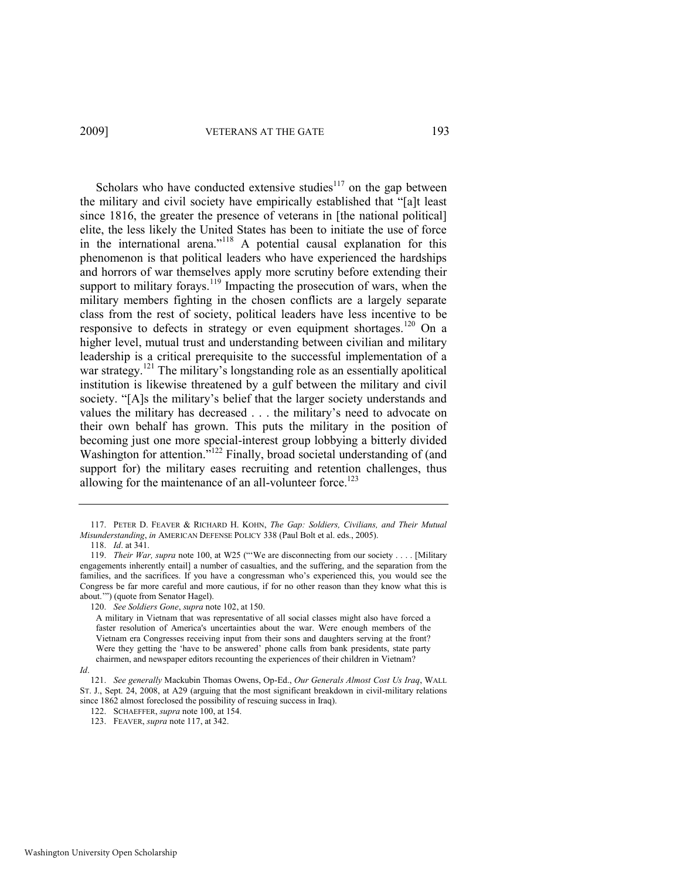<span id="page-19-0"></span>Scholars who have conducted extensive studies $117$  on the gap between the military and civil society have empirically established that "[a]t least since 1816, the greater the presence of veterans in [the national political] elite, the less likely the United States has been to initiate the use of force in the international arena."<sup>118</sup> A potential causal explanation for this phenomenon is that political leaders who have experienced the hardships and horrors of war themselves apply more scrutiny before extending their support to military forays.<sup>119</sup> Impacting the prosecution of wars, when the military members fighting in the chosen conflicts are a largely separate class from the rest of society, political leaders have less incentive to be responsive to defects in strategy or even equipment shortages.<sup>120</sup> On a higher level, mutual trust and understanding between civilian and military leadership is a critical prerequisite to the successful implementation of a war strategy.<sup>121</sup> The military's longstanding role as an essentially apolitical institution is likewise threatened by a gulf between the military and civil society. "[A]s the military's belief that the larger society understands and values the military has decreased . . . the military's need to advocate on their own behalf has grown. This puts the military in the position of becoming just one more special-interest group lobbying a bitterly divided Washington for attention.<sup> $n^{122}$ </sup> Finally, broad societal understanding of (and support for) the military eases recruiting and retention challenges, thus allowing for the maintenance of an all-volunteer force.<sup>123</sup>

<sup>117.</sup> PETER D. FEAVER & RICHARD H. KOHN, *The Gap: Soldiers, Civilians, and Their Mutual Misunderstanding*, *in* AMERICAN DEFENSE POLICY 338 (Paul Bolt et al. eds., 2005).

<sup>118.</sup> *Id*. at 341.

<sup>119.</sup> *Their War, supra* note [100](#page-17-1), at W25 ("We are disconnecting from our society . . . . [Military engagements inherently entail] a number of casualties, and the suffering, and the separation from the families, and the sacrifices. If you have a congressman who's experienced this, you would see the Congress be far more careful and more cautious, if for no other reason than they know what this is about."") (quote from Senator Hagel).

<sup>120.</sup> *See Soldiers Gone*, *supra* not[e 102,](#page-17-2) at 150.

A military in Vietnam that was representative of all social classes might also have forced a faster resolution of America's uncertainties about the war. Were enough members of the Vietnam era Congresses receiving input from their sons and daughters serving at the front? Were they getting the 'have to be answered' phone calls from bank presidents, state party chairmen, and newspaper editors recounting the experiences of their children in Vietnam?

*Id*.

<sup>121.</sup> *See generally* Mackubin Thomas Owens, Op-Ed., *Our Generals Almost Cost Us Iraq*, WALL ST. J., Sept. 24, 2008, at A29 (arguing that the most significant breakdown in civil-military relations since 1862 almost foreclosed the possibility of rescuing success in Iraq).

<sup>122.</sup> SCHAEFFER, *supra* not[e 100,](#page-17-1) at 154.

<sup>123.</sup> FEAVER, *supra* not[e 117,](#page-19-0) at 342.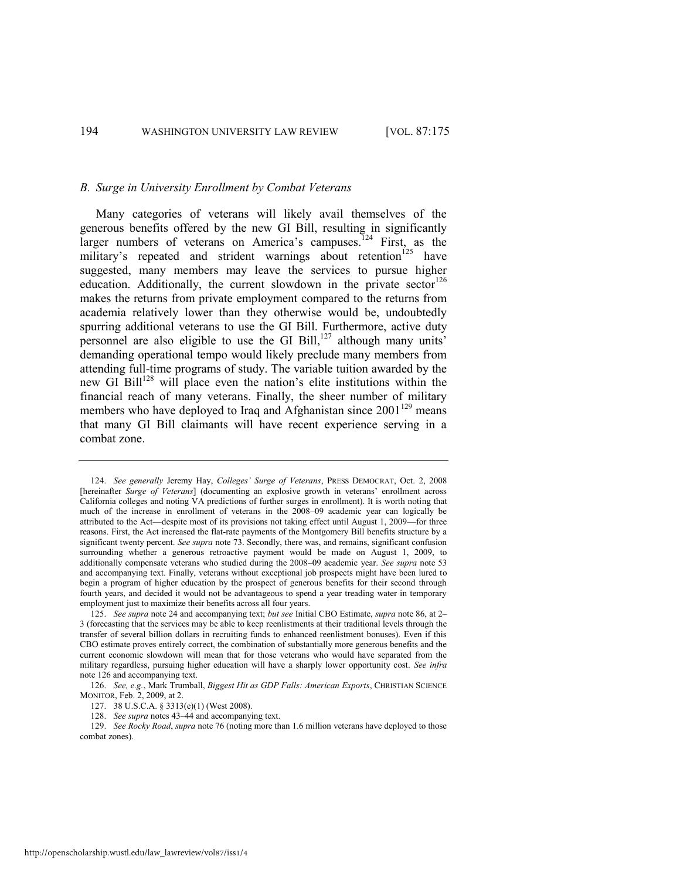#### *B. Surge in University Enrollment by Combat Veterans*

<span id="page-20-1"></span><span id="page-20-0"></span>Many categories of veterans will likely avail themselves of the generous benefits offered by the new GI Bill, resulting in significantly larger numbers of veterans on America's campuses.<sup>124</sup> First, as the military's repeated and strident warnings about retention<sup>125</sup> have suggested, many members may leave the services to pursue higher education. Additionally, the current slowdown in the private sector  $126$ makes the returns from private employment compared to the returns from academia relatively lower than they otherwise would be, undoubtedly spurring additional veterans to use the GI Bill. Furthermore, active duty personnel are also eligible to use the GI Bill, $^{127}$  although many units' demanding operational tempo would likely preclude many members from attending full-time programs of study. The variable tuition awarded by the new GI Bill<sup>128</sup> will place even the nation's elite institutions within the financial reach of many veterans. Finally, the sheer number of military members who have deployed to Iraq and Afghanistan since  $2001^{129}$  means that many GI Bill claimants will have recent experience serving in a combat zone.

<sup>124.</sup> *See generally* Jeremy Hay, *Colleges' Surge of Veterans*, PRESS DEMOCRAT, Oct. 2, 2008 [hereinafter *Surge of Veterans*] (documenting an explosive growth in veterans' enrollment across California colleges and noting VA predictions of further surges in enrollment). It is worth noting that much of the increase in enrollment of veterans in the 2008–09 academic year can logically be attributed to the Act—despite most of its provisions not taking effect until August 1, 2009—for three reasons. First, the Act increased the flat-rate payments of the Montgomery Bill benefits structure by a significant twenty percent. *See supra* note [73.](#page-12-0) Secondly, there was, and remains, significant confusion surrounding whether a generous retroactive payment would be made on August 1, 2009, to additionally compensate veterans who studied during the 2008–09 academic year. *See supra* not[e 53](#page-8-1) and accompanying text. Finally, veterans without exceptional job prospects might have been lured to begin a program of higher education by the prospect of generous benefits for their second through fourth years, and decided it would not be advantageous to spend a year treading water in temporary employment just to maximize their benefits across all four years.

<sup>125.</sup> *See supra* note [24](#page-4-0) and accompanying text; *but see* Initial CBO Estimate, *supra* not[e 86,](#page-14-0) at 2– 3 (forecasting that the services may be able to keep reenlistments at their traditional levels through the transfer of several billion dollars in recruiting funds to enhanced reenlistment bonuses). Even if this CBO estimate proves entirely correct, the combination of substantially more generous benefits and the current economic slowdown will mean that for those veterans who would have separated from the military regardless, pursuing higher education will have a sharply lower opportunity cost. *See infra*  note [126 a](#page-20-0)nd accompanying text.

<sup>126.</sup> *See, e.g.*, Mark Trumball, *Biggest Hit as GDP Falls: American Exports*, CHRISTIAN SCIENCE MONITOR, Feb. 2, 2009, at 2.

<sup>127. 38</sup> U.S.C.A. § 3313(e)(1) (West 2008).

<sup>128.</sup> *See supra* note[s 43](#page-7-3)–[44 a](#page-7-1)nd accompanying text.

<sup>129.</sup> *See Rocky Road*, *supra* note [76 \(](#page-12-1)noting more than 1.6 million veterans have deployed to those combat zones).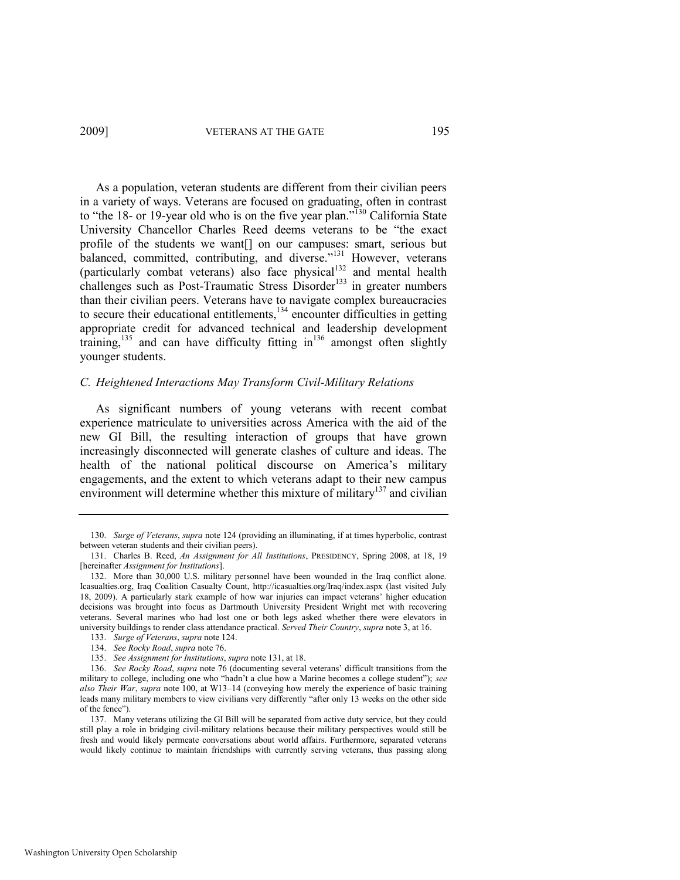<span id="page-21-3"></span><span id="page-21-0"></span>As a population, veteran students are different from their civilian peers in a variety of ways. Veterans are focused on graduating, often in contrast to "the 18- or 19-year old who is on the five year plan."<sup>130</sup> California State University Chancellor Charles Reed deems veterans to be "the exact profile of the students we want[] on our campuses: smart, serious but balanced, committed, contributing, and diverse."<sup>131</sup> However, veterans (particularly combat veterans) also face physical<sup>132</sup> and mental health challenges such as Post-Traumatic Stress Disorder<sup>133</sup> in greater numbers than their civilian peers. Veterans have to navigate complex bureaucracies to secure their educational entitlements,  $134$  encounter difficulties in getting appropriate credit for advanced technical and leadership development training,<sup>135</sup> and can have difficulty fitting in<sup>136</sup> amongst often slightly younger students.

#### <span id="page-21-2"></span><span id="page-21-1"></span>*C. Heightened Interactions May Transform Civil-Military Relations*

As significant numbers of young veterans with recent combat experience matriculate to universities across America with the aid of the new GI Bill, the resulting interaction of groups that have grown increasingly disconnected will generate clashes of culture and ideas. The health of the national political discourse on America's military engagements, and the extent to which veterans adapt to their new campus environment will determine whether this mixture of military<sup>137</sup> and civilian

<sup>130.</sup> *Surge of Veterans*, *supra* not[e 124](#page-20-1) (providing an illuminating, if at times hyperbolic, contrast between veteran students and their civilian peers).

<sup>131.</sup> Charles B. Reed, *An Assignment for All Institutions*, PRESIDENCY, Spring 2008, at 18, 19 [hereinafter *Assignment for Institutions*].

<sup>132.</sup> More than 30,000 U.S. military personnel have been wounded in the Iraq conflict alone. Icasualties.org, Iraq Coalition Casualty Count, http://icasualties.org/Iraq/index.aspx (last visited July 18, 2009). A particularly stark example of how war injuries can impact veterans' higher education decisions was brought into focus as Dartmouth University President Wright met with recovering veterans. Several marines who had lost one or both legs asked whether there were elevators in university buildings to render class attendance practical. *Served Their Country*, *supra* not[e 3,](#page-1-0) at 16.

<sup>133.</sup> *Surge of Veterans*, *supra* not[e 124.](#page-20-1) 

<sup>134.</sup> *See Rocky Road*, *supra* note [76.](#page-12-1) 

<sup>135.</sup> *See Assignment for Institutions*, *supra* not[e 131,](#page-21-0) at 18.

<sup>136.</sup> *See Rocky Road*, *supra* note [76](#page-12-1) (documenting several veterans' difficult transitions from the military to college, including one who "hadn't a clue how a Marine becomes a college student"); see *also Their War*, *supra* note [100,](#page-17-1) at W13–14 (conveying how merely the experience of basic training leads many military members to view civilians very differently "after only 13 weeks on the other side of the fence").

<sup>137.</sup> Many veterans utilizing the GI Bill will be separated from active duty service, but they could still play a role in bridging civil-military relations because their military perspectives would still be fresh and would likely permeate conversations about world affairs. Furthermore, separated veterans would likely continue to maintain friendships with currently serving veterans, thus passing along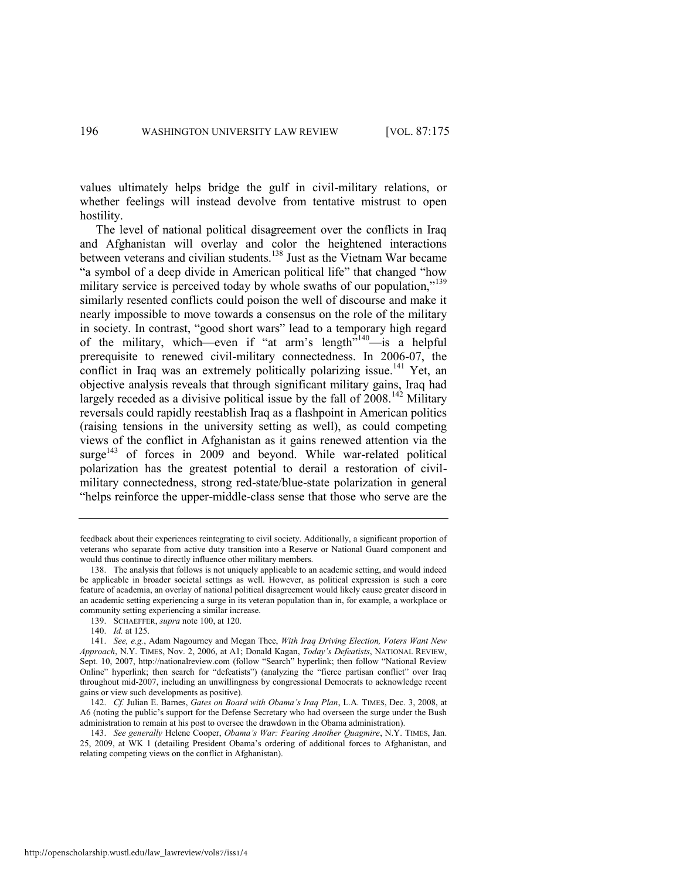values ultimately helps bridge the gulf in civil-military relations, or whether feelings will instead devolve from tentative mistrust to open hostility.

The level of national political disagreement over the conflicts in Iraq and Afghanistan will overlay and color the heightened interactions between veterans and civilian students.<sup>138</sup> Just as the Vietnam War became "a symbol of a deep divide in American political life" that changed "how military service is perceived today by whole swaths of our population," $139$ similarly resented conflicts could poison the well of discourse and make it nearly impossible to move towards a consensus on the role of the military in society. In contrast, "good short wars" lead to a temporary high regard of the military, which—even if "at arm's length"<sup>140</sup>—is a helpful prerequisite to renewed civil-military connectedness. In 2006-07, the conflict in Iraq was an extremely politically polarizing issue.<sup>141</sup> Yet, an objective analysis reveals that through significant military gains, Iraq had largely receded as a divisive political issue by the fall of  $2008$ .<sup>142</sup> Military reversals could rapidly reestablish Iraq as a flashpoint in American politics (raising tensions in the university setting as well), as could competing views of the conflict in Afghanistan as it gains renewed attention via the surge<sup> $143$ </sup> of forces in 2009 and beyond. While war-related political polarization has the greatest potential to derail a restoration of civilmilitary connectedness, strong red-state/blue-state polarization in general "helps reinforce the upper-middle-class sense that those who serve are the

feedback about their experiences reintegrating to civil society. Additionally, a significant proportion of veterans who separate from active duty transition into a Reserve or National Guard component and would thus continue to directly influence other military members.

<sup>138.</sup> The analysis that follows is not uniquely applicable to an academic setting, and would indeed be applicable in broader societal settings as well. However, as political expression is such a core feature of academia, an overlay of national political disagreement would likely cause greater discord in an academic setting experiencing a surge in its veteran population than in, for example, a workplace or community setting experiencing a similar increase.

<sup>139.</sup> SCHAEFFER, *supra* not[e 100,](#page-17-1) at 120.

<sup>140.</sup> *Id.* at 125.

<sup>141.</sup> *See, e.g.*, Adam Nagourney and Megan Thee, *With Iraq Driving Election, Voters Want New Approach*, N.Y. TIMES, Nov. 2, 2006, at A1; Donald Kagan, *Today's Defeatists*, NATIONAL REVIEW, Sept. 10, 2007, http://nationalreview.com (follow "Search" hyperlink; then follow "National Review Online" hyperlink; then search for "defeatists") (analyzing the "fierce partisan conflict" over Iraq throughout mid-2007, including an unwillingness by congressional Democrats to acknowledge recent gains or view such developments as positive).

<sup>142.</sup> *Cf.* Julian E. Barnes, *Gates on Board with Obama's Iraq Plan*, L.A. TIMES, Dec. 3, 2008, at A6 (noting the public's support for the Defense Secretary who had overseen the surge under the Bush administration to remain at his post to oversee the drawdown in the Obama administration).

<sup>143.</sup> *See generally* Helene Cooper, *Obama's War: Fearing Another Quagmire*, N.Y. TIMES, Jan. 25, 2009, at WK 1 (detailing President Obama's ordering of additional forces to Afghanistan, and relating competing views on the conflict in Afghanistan).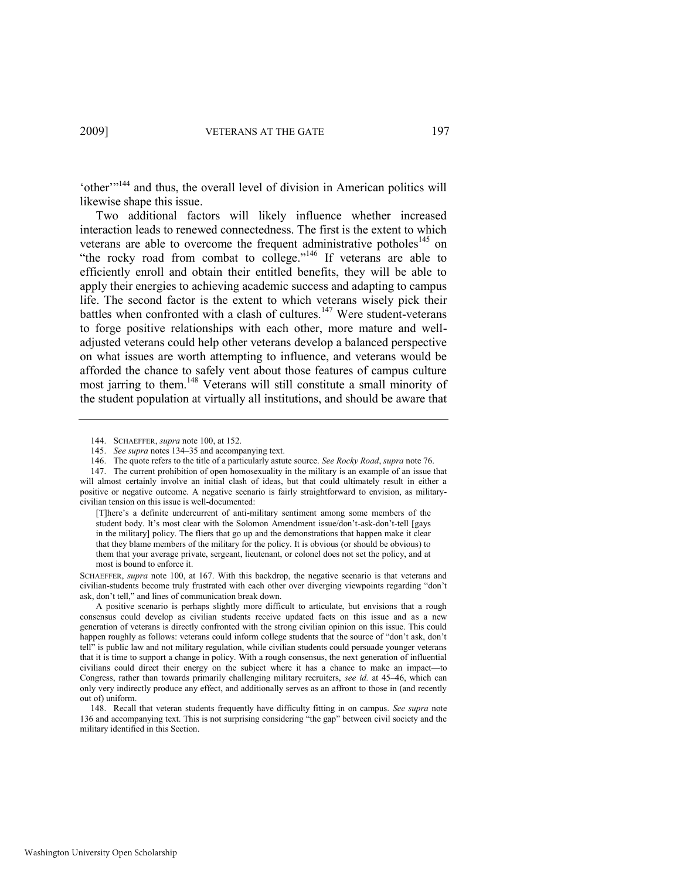'other'<sup>144</sup> and thus, the overall level of division in American politics will likewise shape this issue.

<span id="page-23-0"></span>Two additional factors will likely influence whether increased interaction leads to renewed connectedness. The first is the extent to which veterans are able to overcome the frequent administrative potholes<sup>145</sup> on "the rocky road from combat to college."<sup>146</sup> If veterans are able to efficiently enroll and obtain their entitled benefits, they will be able to apply their energies to achieving academic success and adapting to campus life. The second factor is the extent to which veterans wisely pick their battles when confronted with a clash of cultures.<sup>147</sup> Were student-veterans to forge positive relationships with each other, more mature and welladjusted veterans could help other veterans develop a balanced perspective on what issues are worth attempting to influence, and veterans would be afforded the chance to safely vent about those features of campus culture most jarring to them.<sup>148</sup> Veterans will still constitute a small minority of the student population at virtually all institutions, and should be aware that

SCHAEFFER, *supra* note [100,](#page-17-1) at 167. With this backdrop, the negative scenario is that veterans and civilian-students become truly frustrated with each other over diverging viewpoints regarding "don't ask, don't tell," and lines of communication break down.

<sup>144.</sup> SCHAEFFER, *supra* not[e 100,](#page-17-1) at 152.

<sup>145.</sup> *See supra* note[s 134](#page-21-1)–35 and accompanying text.

<sup>146.</sup> The quote refers to the title of a particularly astute source. *See Rocky Road*, *supra* not[e 76.](#page-12-1) 

<sup>147.</sup> The current prohibition of open homosexuality in the military is an example of an issue that will almost certainly involve an initial clash of ideas, but that could ultimately result in either a positive or negative outcome. A negative scenario is fairly straightforward to envision, as militarycivilian tension on this issue is well-documented:

<sup>[</sup>T]here's a definite undercurrent of anti-military sentiment among some members of the student body. It's most clear with the Solomon Amendment issue/don't-ask-don't-tell [gays in the military] policy. The fliers that go up and the demonstrations that happen make it clear that they blame members of the military for the policy. It is obvious (or should be obvious) to them that your average private, sergeant, lieutenant, or colonel does not set the policy, and at most is bound to enforce it.

A positive scenario is perhaps slightly more difficult to articulate, but envisions that a rough consensus could develop as civilian students receive updated facts on this issue and as a new generation of veterans is directly confronted with the strong civilian opinion on this issue. This could happen roughly as follows: veterans could inform college students that the source of "don't ask, don't tell‖ is public law and not military regulation, while civilian students could persuade younger veterans that it is time to support a change in policy. With a rough consensus, the next generation of influential civilians could direct their energy on the subject where it has a chance to make an impact—to Congress, rather than towards primarily challenging military recruiters, *see id.* at 45–46, which can only very indirectly produce any effect, and additionally serves as an affront to those in (and recently out of) uniform.

<sup>148.</sup> Recall that veteran students frequently have difficulty fitting in on campus. *See supra* note [136](#page-21-2) and accompanying text. This is not surprising considering "the gap" between civil society and the military identified in this Section.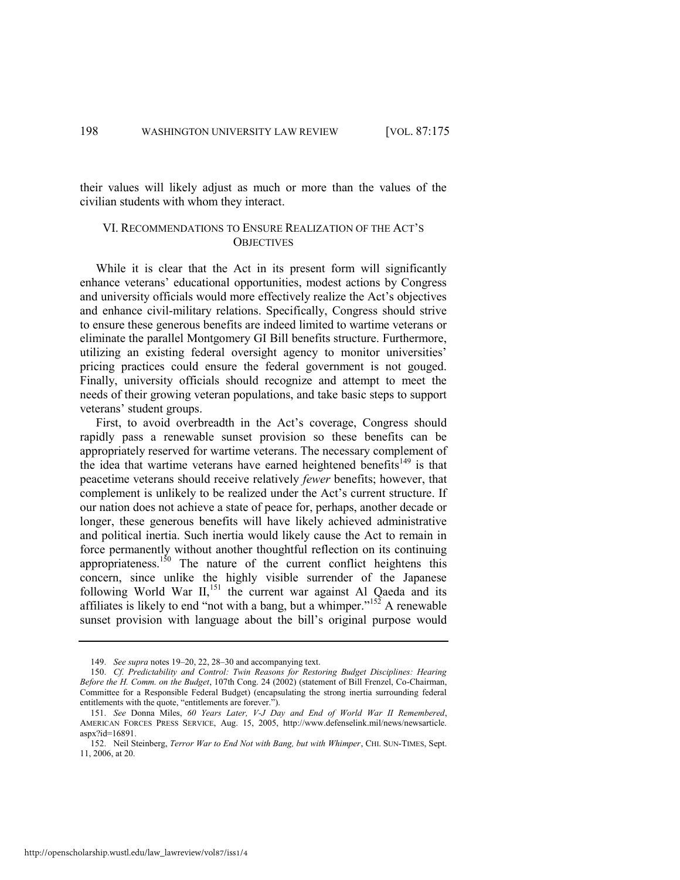their values will likely adjust as much or more than the values of the civilian students with whom they interact.

#### VI. RECOMMENDATIONS TO ENSURE REALIZATION OF THE ACT'S **OBJECTIVES**

While it is clear that the Act in its present form will significantly enhance veterans' educational opportunities, modest actions by Congress and university officials would more effectively realize the Act's objectives and enhance civil-military relations. Specifically, Congress should strive to ensure these generous benefits are indeed limited to wartime veterans or eliminate the parallel Montgomery GI Bill benefits structure. Furthermore, utilizing an existing federal oversight agency to monitor universities' pricing practices could ensure the federal government is not gouged. Finally, university officials should recognize and attempt to meet the needs of their growing veteran populations, and take basic steps to support veterans' student groups.

First, to avoid overbreadth in the Act's coverage, Congress should rapidly pass a renewable sunset provision so these benefits can be appropriately reserved for wartime veterans. The necessary complement of the idea that wartime veterans have earned heightened benefits<sup>149</sup> is that peacetime veterans should receive relatively *fewer* benefits; however, that complement is unlikely to be realized under the Act's current structure. If our nation does not achieve a state of peace for, perhaps, another decade or longer, these generous benefits will have likely achieved administrative and political inertia. Such inertia would likely cause the Act to remain in force permanently without another thoughtful reflection on its continuing appropriateness.<sup>150</sup> The nature of the current conflict heightens this concern, since unlike the highly visible surrender of the Japanese following World War II,<sup>151</sup> the current war against Al Qaeda and its affiliates is likely to end "not with a bang, but a whimper." $152$  A renewable sunset provision with language about the bill's original purpose would

<sup>149.</sup> *See supra* note[s 19](#page-4-2)–[20,](#page-4-4) [22,](#page-4-3) [28](#page-5-2)–[30 a](#page-5-3)nd accompanying text.

<sup>150.</sup> *Cf. Predictability and Control: Twin Reasons for Restoring Budget Disciplines: Hearing Before the H. Comm. on the Budget*, 107th Cong. 24 (2002) (statement of Bill Frenzel, Co-Chairman, Committee for a Responsible Federal Budget) (encapsulating the strong inertia surrounding federal entitlements with the quote, "entitlements are forever.").

<sup>151.</sup> *See* Donna Miles, *60 Years Later, V-J Day and End of World War II Remembered*, AMERICAN FORCES PRESS SERVICE, Aug. 15, 2005, http://www.defenselink.mil/news/newsarticle. aspx?id=16891.

<sup>152.</sup> Neil Steinberg, *Terror War to End Not with Bang, but with Whimper*, CHI. SUN-TIMES, Sept. 11, 2006, at 20.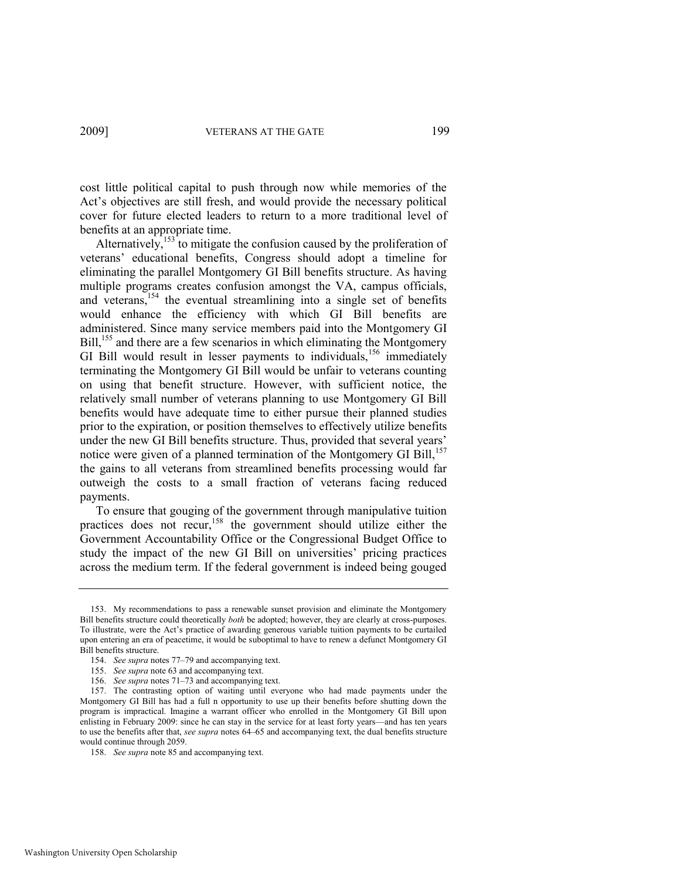cost little political capital to push through now while memories of the Act's objectives are still fresh, and would provide the necessary political cover for future elected leaders to return to a more traditional level of benefits at an appropriate time.

Alternatively,<sup>153</sup> to mitigate the confusion caused by the proliferation of veterans' educational benefits, Congress should adopt a timeline for eliminating the parallel Montgomery GI Bill benefits structure. As having multiple programs creates confusion amongst the VA, campus officials, and veterans,<sup>154</sup> the eventual streamlining into a single set of benefits would enhance the efficiency with which GI Bill benefits are administered. Since many service members paid into the Montgomery GI Bill,<sup>155</sup> and there are a few scenarios in which eliminating the Montgomery GI Bill would result in lesser payments to individuals,<sup>156</sup> immediately terminating the Montgomery GI Bill would be unfair to veterans counting on using that benefit structure. However, with sufficient notice, the relatively small number of veterans planning to use Montgomery GI Bill benefits would have adequate time to either pursue their planned studies prior to the expiration, or position themselves to effectively utilize benefits under the new GI Bill benefits structure. Thus, provided that several years' notice were given of a planned termination of the Montgomery GI Bill,<sup>157</sup> the gains to all veterans from streamlined benefits processing would far outweigh the costs to a small fraction of veterans facing reduced payments.

To ensure that gouging of the government through manipulative tuition practices does not recur,<sup>158</sup> the government should utilize either the Government Accountability Office or the Congressional Budget Office to study the impact of the new GI Bill on universities' pricing practices across the medium term. If the federal government is indeed being gouged

<sup>153.</sup> My recommendations to pass a renewable sunset provision and eliminate the Montgomery Bill benefits structure could theoretically *both* be adopted; however, they are clearly at cross-purposes. To illustrate, were the Act's practice of awarding generous variable tuition payments to be curtailed upon entering an era of peacetime, it would be suboptimal to have to renew a defunct Montgomery GI Bill benefits structure.

<sup>154.</sup> *See supra* note[s 77](#page-13-0)–[79 a](#page-13-1)nd accompanying text.

<sup>155.</sup> *See supra* not[e 63 a](#page-10-0)nd accompanying text.

<sup>156.</sup> *See supra* note[s 71](#page-12-2)–[73 a](#page-12-0)nd accompanying text.

<sup>157.</sup> The contrasting option of waiting until everyone who had made payments under the Montgomery GI Bill has had a full n opportunity to use up their benefits before shutting down the program is impractical. Imagine a warrant officer who enrolled in the Montgomery GI Bill upon enlisting in February 2009: since he can stay in the service for at least forty years—and has ten years to use the benefits after that, *see supra* notes [64](#page-10-1)–[65](#page-10-2) and accompanying text, the dual benefits structure would continue through 2059.

<sup>158.</sup> *See supra* not[e 85 a](#page-14-1)nd accompanying text.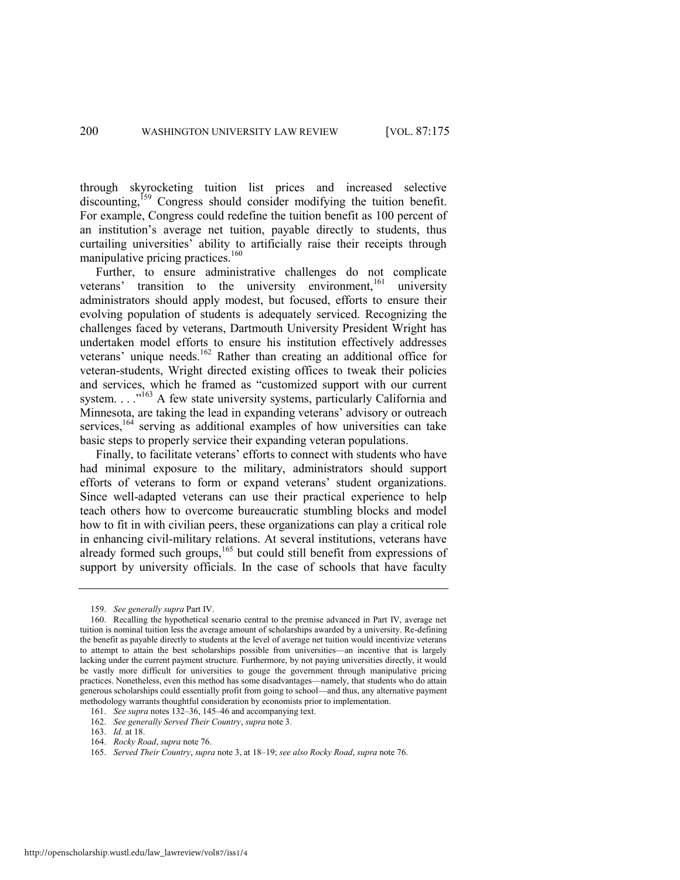through skyrocketing tuition list prices and increased selective discounting,<sup>159</sup> Congress should consider modifying the tuition benefit. For example, Congress could redefine the tuition benefit as 100 percent of an institution's average net tuition, payable directly to students, thus curtailing universities' ability to artificially raise their receipts through manipulative pricing practices.<sup>160</sup>

Further, to ensure administrative challenges do not complicate veterans' transition to the university environment,<sup>161</sup> university administrators should apply modest, but focused, efforts to ensure their evolving population of students is adequately serviced. Recognizing the challenges faced by veterans, Dartmouth University President Wright has undertaken model efforts to ensure his institution effectively addresses veterans' unique needs.<sup>162</sup> Rather than creating an additional office for veteran-students, Wright directed existing offices to tweak their policies and services, which he framed as "customized support with our current system.  $\ldots$ <sup>163</sup> A few state university systems, particularly California and Minnesota, are taking the lead in expanding veterans' advisory or outreach services,<sup>164</sup> serving as additional examples of how universities can take basic steps to properly service their expanding veteran populations.

Finally, to facilitate veterans' efforts to connect with students who have had minimal exposure to the military, administrators should support efforts of veterans to form or expand veterans' student organizations. Since well-adapted veterans can use their practical experience to help teach others how to overcome bureaucratic stumbling blocks and model how to fit in with civilian peers, these organizations can play a critical role in enhancing civil-military relations. At several institutions, veterans have already formed such groups, $165$  but could still benefit from expressions of support by university officials. In the case of schools that have faculty

<sup>159.</sup> *See generally supra* Part IV.

<sup>160.</sup> Recalling the hypothetical scenario central to the premise advanced in Part IV, average net tuition is nominal tuition less the average amount of scholarships awarded by a university. Re-defining the benefit as payable directly to students at the level of average net tuition would incentivize veterans to attempt to attain the best scholarships possible from universities—an incentive that is largely lacking under the current payment structure. Furthermore, by not paying universities directly, it would be vastly more difficult for universities to gouge the government through manipulative pricing practices. Nonetheless, even this method has some disadvantages—namely, that students who do attain generous scholarships could essentially profit from going to school—and thus, any alternative payment methodology warrants thoughtful consideration by economists prior to implementation.

<sup>161.</sup> *See supra* note[s 132](#page-21-3)–36[, 145](#page-23-0)–46 and accompanying text.

<sup>162.</sup> *See generally Served Their Country*, *supra* not[e 3.](#page-1-0) 

<sup>163.</sup> *Id.* at 18.

<sup>164.</sup> *Rocky Road*, *supra* not[e 76.](#page-12-1) 

<sup>165.</sup> *Served Their Country*, *supra* not[e 3,](#page-1-0) at 18–19; *see also Rocky Road*, *supra* not[e 76.](#page-12-1)